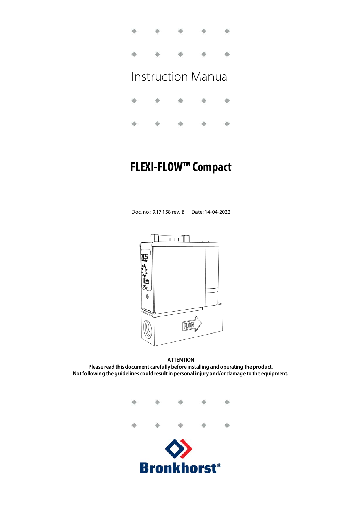

# **FLEXI-FLOW™ Compact**

Doc. no.: 9.17.158 rev. B Date: 14-04-2022



**ATTENTION**

**Please read this document carefully before installing and operating the product. Not following the guidelines could result in personal injury and/or damage to the equipment.**

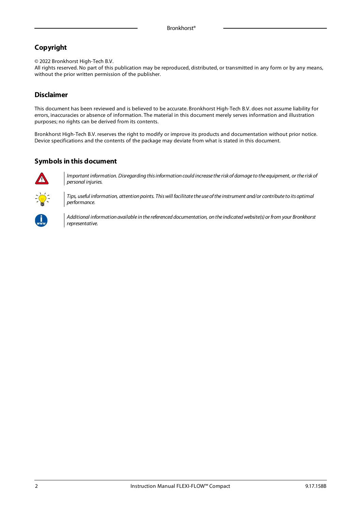# **Copyright**

© 2022 Bronkhorst High-Tech B.V.

All rights reserved. No part of this publication may be reproduced, distributed, or transmitted in any form or by any means, without the prior written permission of the publisher.

# **Disclaimer**

This document has been reviewed and is believed to be accurate. Bronkhorst High-Tech B.V. does not assume liability for errors, inaccuracies or absence of information. The material in this document merely serves information and illustration purposes; no rights can be derived from its contents.

Bronkhorst High-Tech B.V. reserves the right to modify or improve its products and documentation without prior notice. Device specifications and the contents of the package may deviate from what is stated in this document.

# **Symbols in this document**



Important information. Disregarding this information could increase the risk of damage to the equipment, or the risk of personal injuries.



Tips, useful information, attention points. This will facilitate the use of the instrument and/or contribute to its optimal performance.



Additional information available in the referenced documentation, on the indicated website(s) or from your Bronkhorst representative.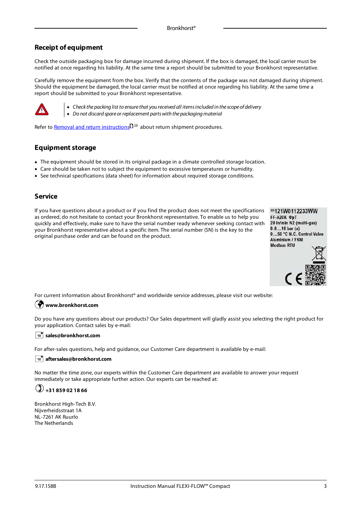# **Receipt of equipment**

Check the outside packaging box for damage incurred during shipment. If the box is damaged, the local carrier must be notified at once regarding his liability. At the same time a report should be submitted to your Bronkhorst representative.

Carefully remove the equipment from the box. Verify that the contents of the package was not damaged during shipment. Should the equipment be damaged, the local carrier must be notified at once regarding his liability. At the same time a report should be submitted to your Bronkhorst representative.



• Check the packing list to ensure that you received all items included in the scope of delivery Do not discard spare or replacement parts with the packaging material

Refer to <u>[Removal and return instructions](#page-18-0)</u> D<sup>19</sup> about return shipment procedures.

# **Equipment storage**

- · The equipment should be stored in its original package in a climate controlled storage location.
- · Care should be taken not to subject the equipment to excessive temperatures or humidity.
- · See technical specifications (data sheet) for information about required storage conditions.

# **Service**

If you have questions about a product or if you find the product does not meet the specifications as ordered, do not hesitate to contact your Bronkhorst representative. To enable us to help you quickly and effectively, make sure to have the serial number ready whenever seeking contact with your Bronkhorst representative about a specific item. The serial number (SN) is the key to the original purchase order and can be found on the product.

SN121W0112233WW FF-A20K ФрТ 20 In/min N2 (multi-gas)  $0.8...16$  bar (a) 0...50 °C N.C. Control Valve Aluminium / FKM **Modbus RTU** 

For current information about Bronkhorst® and worldwide service addresses, please visit our website:

#### **[www.bronkhorst.com](https://www.bronkhorst.com)**

Do you have any questions about our products? Our Sales department will gladly assist you selecting the right product for your application. Contact sales by e-mail:

#### **[sales@bronkhorst.com](mailto:sales@bronkhorst.com)**

For after-sales questions, help and guidance, our Customer Care department is available by e-mail:

#### **[aftersales@bronkhorst.com](mailto:aftersales@bronkhorst.com)**

No matter the time zone, our experts within the Customer Care department are available to answer your request immediately or take appropriate further action. Our experts can be reached at:

# $\textcircled{1}$  +31 859 02 18 66

Bronkhorst High-Tech B.V. Nijverheidsstraat 1A NL-7261 AK Ruurlo The Netherlands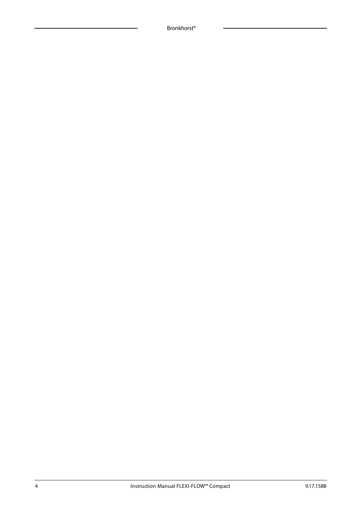Bronkhorst®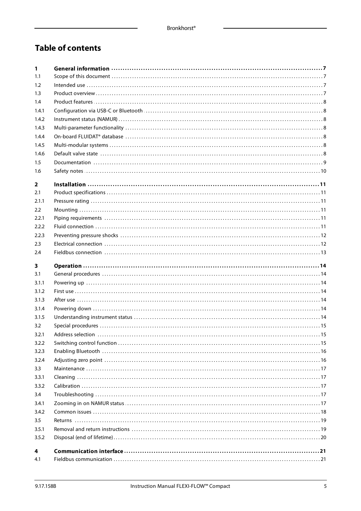# **Table of contents**

| 1                |  |
|------------------|--|
| 1.1              |  |
| 1.2              |  |
| 1.3              |  |
| 1.4              |  |
| 1.4.1            |  |
| 1.4.2            |  |
| 1.4.3            |  |
| 1.4.4            |  |
| 1.4.5            |  |
| 1.4.6            |  |
| 1.5              |  |
| 1.6              |  |
|                  |  |
| $\mathbf{2}$     |  |
| 2.1              |  |
| 2.1.1            |  |
| $2.2\phantom{0}$ |  |
| 2.2.1            |  |
| 2.2.2            |  |
| 2.2.3            |  |
| 2.3              |  |
| 2.4              |  |
|                  |  |
| 3                |  |
| 3.1              |  |
| 3.1.1            |  |
| 3.1.2            |  |
| 3.1.3            |  |
| 3.1.4            |  |
| 3.1.5            |  |
| 3.2              |  |
| 3.2.1            |  |
| 3.2.2            |  |
| 3.2.3            |  |
| 3.2.4            |  |
| 3.3              |  |
| 3.3.1            |  |
| 3.3.2            |  |
| 3.4              |  |
| 3.4.1            |  |
| 3.4.2            |  |
|                  |  |
| 3.5              |  |
| 3.5.1            |  |
| 3.5.2            |  |
|                  |  |
| 4<br>4.1         |  |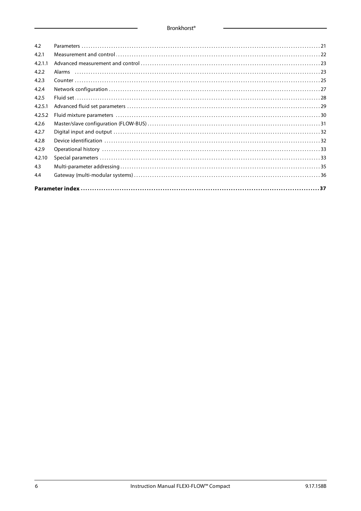| 4.2     |  |
|---------|--|
| 4.2.1   |  |
| 4.2.1.1 |  |
| 4.2.2   |  |
| 4.2.3   |  |
| 4.2.4   |  |
| 4.2.5   |  |
| 4.2.5.1 |  |
| 4.2.5.2 |  |
| 4.2.6   |  |
| 4.2.7   |  |
| 4.2.8   |  |
| 4.2.9   |  |
| 4.2.10  |  |
| 4.3     |  |
| 4.4     |  |
|         |  |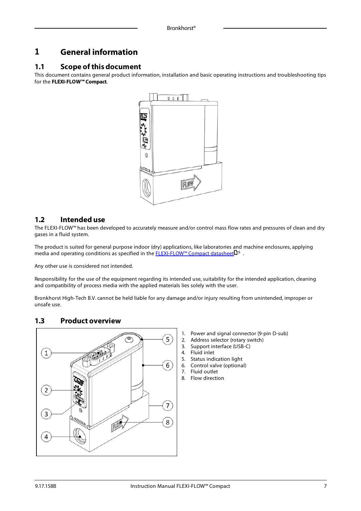# <span id="page-6-0"></span>**1 General information**

# **1.1 Scope of this document**

This document contains general product information, installation and basic operating instructions and troubleshooting tips for the **FLEXI-FLOW™ Compact**.



# <span id="page-6-1"></span>**1.2 Intended use**

The FLEXI-FLOW™ has been developed to accurately measure and/or control mass flow rates and pressures of clean and dry gases in a fluid system.

The product is suited for general purpose indoor (dry) applications, like laboratories and machine enclosures, applying media and operating conditions as specified in the <u>[FLEXI-FLOW™ Compact datasheet](#page-8-0)</u>D<sup>9</sup>.

Any other use is considered not intended.

Responsibility for the use of the equipment regarding its intended use, suitability for the intended application, cleaning and compatibility of process media with the applied materials lies solely with the user.

Bronkhorst High-Tech B.V. cannot be held liable for any damage and/or injury resulting from unintended, improper or unsafe use.

5

 $6 \overline{6}$ 

 $\overline{7}$ 

8

# $\circledcirc$  $\left( \begin{matrix} 1 \end{matrix} \right)$

FOR

<span id="page-6-2"></span>**1.3 Product overview**

- 1. Power and signal connector (9-pin D-sub)
- 2. Address selector (rotary switch)
- 3. Support interface (USB-C)
- 4. Fluid inlet
- 5. Status indication light
- 6. Control valve (optional)
- 7. Fluid outlet
- 8. Flow direction

 $\overline{2}$ 

3

 $\overline{4}$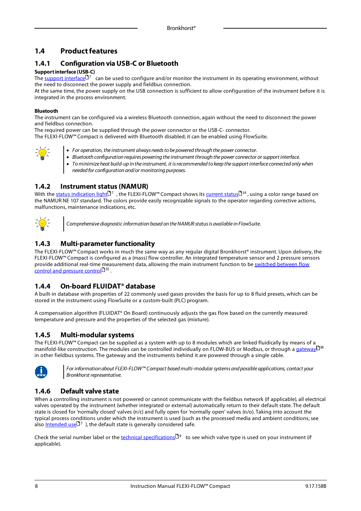# <span id="page-7-0"></span>**1.4 Product features**

# **1.4.1 Configuration via USB-C or Bluetooth**

### **Support interface (USB-C)**

The <u>[support interface](#page-6-2)<sup>17</sup> can be used to configure and/or monitor the instrument in its operating environment, without</u> the need to disconnect the power supply and fieldbus connection.

At the same time, the power supply on the USB connection is sufficient to allow configuration of the instrument before it is integrated in the process environment.

#### **Bluetooth**

The instrument can be configured via a wireless Bluetooth connection, again without the need to disconnect the power and fieldbus connection.

The required power can be supplied through the power connector or the USB-C- connector. The FLEXI-FLOW™ Compact is delivered with Bluetooth disabled; it can be enabled using FlowSuite.



- · For operation, the instrument always needs to be powered through the power connector.
- Foreparation, include the interface through the instrument through the power connector or support interface.
- · To minimize heat build-up in the instrument, it is recommended to keep the support interface connected only when needed for configuration and/or monitoring purposes.

# <span id="page-7-1"></span>**1.4.2 Instrument status (NAMUR)**

With the <u>[status indication light](#page-6-2)</u>D7 , the FLEXI-FLOW™ Compact shows its <u>[current status](#page-13-5)</u>D<sup>14</sup> , using a color range based on the NAMUR NE 107 standard. The colors provide easily recognizable signals to the operator regarding corrective actions, malfunctions, maintenance indications, etc.



Comprehensive diagnostic information based on the NAMUR status is available in FlowSuite.

# <span id="page-7-2"></span>**1.4.3 Multi-parameter functionality**

The FLEXI-FLOW™ Compact works in much the same way as any regular digital Bronkhorst® instrument. Upon delivery, the FLEXI-FLOW™ Compact is configured as a (mass) flow controller. An integrated temperature sensor and 2 pressure sensors provide additional real-time measurement data, allowing the main instrument function to be [switched between flow](#page-14-1) [control and pressure control](#page-14-1)<sup>[15]</sup>.

# <span id="page-7-3"></span>**1.4.4 On-board FLUIDAT® database**

A built-in database with properties of 22 commonly used gases provides the basis for up to 8 fluid presets, which can be stored in the instrument using FlowSuite or a custom-built (PLC) program.

A compensation algorithm (FLUIDAT® On Board) continuously adjusts the gas flow based on the currently measured temperature and pressure and the properties of the selected gas (mixture).

# <span id="page-7-4"></span>**1.4.5 Multi-modular systems**

The FLEXI-FLOW™ Compact can be supplied as a system with up to 8 modules which are linked fluidically by means of a manifold-like construction. The modules can be controlled individually on FLOW-BUS or Modbus, or through a <u>[gateway](#page-35-0)</u>D<sup>36</sup> in other fieldbus systems. The gateway and the instruments behind it are powered through a single cable.



For information about FLEXI-FLOW™ Compact based multi-modular systems and possible applications, contact your Bronkhorst representative.

# <span id="page-7-5"></span>**1.4.6 Default valve state**

When a controlling instrument is not powered or cannot communicate with the fieldbus network (if applicable), all electrical valves operated by the instrument (whether integrated or external) automatically return to their default state. The default state is closed for 'normally closed' valves (n/c) and fully open for 'normally open' valves (n/o). Taking into account the typical process conditions under which the instrument is used (such as the processed media and ambient conditions; see also <u>[Intended use](#page-6-1)</u>D<sup>7</sup>), the default state is generally considered safe.

Check the serial number label or the <u>[technical specifications](#page-8-0)</u> $D^9$  to see which valve type is used on your instrument (if applicable).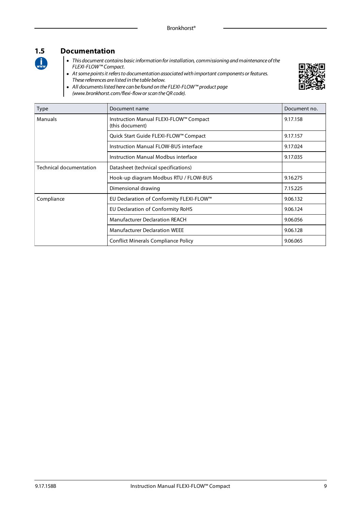# <span id="page-8-0"></span>**1.5 Documentation**

**CEN** 

- · This document contains basic information for installation, commissioning and maintenance of the FLEXI-FLOW™ Compact.
- · At some points it refers to documentation associated with important components or features. These references are listed in the table below.



· All documents listed here can be found on the FLEXI-FLOW™ product page (www.bronkhorst.com/flexi-flow or scan the QR code).

| Type                    | Document name                                             | Document no. |
|-------------------------|-----------------------------------------------------------|--------------|
| Manuals                 | Instruction Manual FLEXI-FLOW™ Compact<br>(this document) | 9.17.158     |
|                         | Quick Start Guide FLEXI-FLOW™ Compact                     | 9.17.157     |
|                         | <b>Instruction Manual FLOW-BUS interface</b>              | 9.17.024     |
|                         | Instruction Manual Modbus interface                       | 9.17.035     |
| Technical documentation | Datasheet (technical specifications)                      |              |
|                         | Hook-up diagram Modbus RTU / FLOW-BUS                     | 9.16.275     |
|                         | Dimensional drawing                                       | 7.15.225     |
| Compliance              | EU Declaration of Conformity FLEXI-FLOW™                  | 9.06.132     |
|                         | EU Declaration of Conformity RoHS                         | 9.06.124     |
|                         | <b>Manufacturer Declaration REACH</b>                     | 9.06.056     |
|                         | <b>Manufacturer Declaration WEEE</b>                      | 9.06.128     |
|                         | <b>Conflict Minerals Compliance Policy</b>                | 9.06.065     |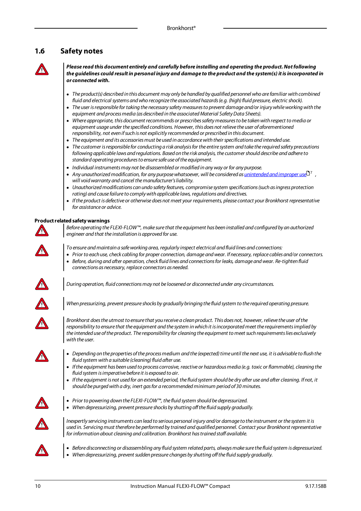# <span id="page-9-0"></span>**1.6 Safety notes**



**Please read this document entirely and carefully before installing and operating the product. Not following the guidelines could result in personal injury and damage to the product and the system(s) it is incorporated in or connected with.**

- · The product(s) described in this document may only be handled by qualified personnel who are familiar with combined fluid and electrical systems and who recognize the associated hazards (e.g. (high) fluid pressure, electric shock).
- · The user is responsible for taking the necessary safety measures to prevent damage and/or injury while working with the equipment and process media (as described in the associated Material Safety Data Sheets).
- · Where appropriate, this document recommends or prescribes safety measures to be taken with respect to media or equipment usage under the specified conditions. However, this does not relieve the user of aforementioned responsibility, not even if such is not explicitly recommended or prescribed in this document.
- · The equipment and its accessories must be used in accordance with their specifications and intended use.
- The customer is responsible for conducting a risk analysis for the entire system and take the required safety precautions following applicable laws and regulations. Based on the risk analysis, the customer should describe and adhere to standard operating procedures to ensure safe use of the equipment.
- · Individual instruments may not be disassembled or modified in any way or for any purpose.
- Any unauthorized modification, for any purpose whatsoever, will be considered as <u>[unintended and improper use](#page-6-1)</u>  $\Box$ <sup>7</sup>, will void warranty and cancel the manufacturer's liability.
- · Unauthorized modifications can undo safety features, compromise system specifications (such as ingress protection rating) and cause failure to comply with applicable laws, regulations and directives.
- · If the product is defective or otherwise does not meet your requirements, please contact your Bronkhorst representative for assistance or advice.

#### **Product related safety warnings**



Before operating the FLEXI-FLOW™, make sure that the equipment has been installed and configured by an authorized engineer and that the installation is approved for use.



To ensure and maintain a safe working area, regularly inspect electrical and fluid lines and connections:

- Prior to each use, check cabling for proper connection, damage and wear. If necessary, replace cables and/or connectors.<br>• Prior to each use, check cabling for proper connection, damage and wear. If necessary, replace ca Before, during and after operation, check fluid lines and connections for leaks, damage and wear. Re-tighten fluid
- connections as necessary, replace connectors as needed.



During operation, fluid connections may not be loosened or disconnected under any circumstances.



When pressurizing, prevent pressure shocks by gradually bringing the fluid system to the required operating pressure.



Bronkhorst does the utmost to ensure that you receive a clean product. This does not, however, relieve the user of the responsibility to ensure that the equipment and the system in which it is incorporated meet the requirements implied by the intended use of the product. The responsibility for cleaning the equipment to meet such requirements lies exclusively with the user.



- · Depending on the properties of the process medium and the (expected) time until the next use, it is advisable to flush the fluid system with a suitable (cleaning) fluid after use.
- · If the equipment has been used to process corrosive, reactive or hazardous media (e.g. toxic or flammable), cleaning the fluid system is imperative before it is exposed to air.
- · If the equipment is not used for an extended period, the fluid system should be dry after use and after cleaning. If not, it should be purged with a dry, inert gas for a recommended minimum period of 30 minutes.



- Prior to powering down the FLEXI-FLOW™, the fluid system should be depressurized.<br>• When depressurizing, provent pressure shocks by shutting off the fluid supply aredual
- When depressurizing, prevent pressure shocks by shutting off the fluid supply gradually.



Inexpertly servicing instruments can lead to serious personal injury and/or damage to the instrument or the system it is used in. Servicing must therefore be performed by trained and qualified personnel. Contact your Bronkhorst representative for information about cleaning and calibration. Bronkhorst has trained staff available.

- Before disconnecting or disassembling any fluid system related parts, always make sure the fluid system is depressurized.<br>• When depressurizing, provent sudden pressure chapace by chutting of the fluid supply aradually.
- When depressurizing, prevent sudden pressure changes by shutting off the fluid supply gradually.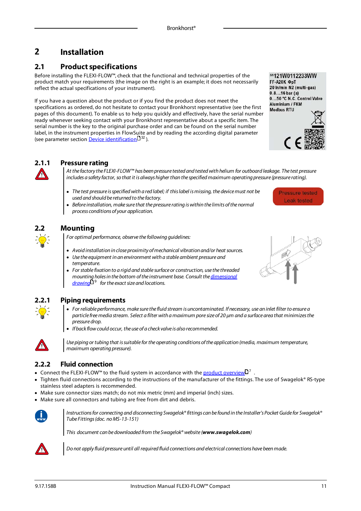# <span id="page-10-0"></span>**2 Installation**

# **2.1 Product specifications**

Before installing the FLEXI-FLOW™, check that the functional and technical properties of the product match your requirements (the image on the right is an example; it does not necessarily reflect the actual specifications of your instrument).

If you have a question about the product or if you find the product does not meet the specifications as ordered, do not hesitate to contact your Bronkhorst representative (see the first pages of this document). To enable us to help you quickly and effectively, have the serial number ready whenever seeking contact with your Bronkhorst representative about a specific item. The serial number is the key to the original purchase order and can be found on the serial number label, in the instrument properties in FlowSuite and by reading the according digital parameter (see parameter section <u>[Device identification](#page-31-1)</u><sup>132</sup>).

SN121W0112233WW FF-A20K ФрТ 20 In/min N2 (multi-gas)  $0.8...16$  bar (a) 0...50 °C N.C. Control Valve Aluminium / FKM **Modbus RTU** 

> Pressure tested **Leak tested**

# <span id="page-10-1"></span>**2.1.1 Pressure rating**



At the factory the FLEXI-FLOW™ has been pressure tested and tested with helium for outboard leakage. The test pressure includes a safety factor, so that it is always higher than the specified maximum operating pressure (pressure rating).

- · The test pressure is specified with a red label; if this label is missing, the device must not be used and should be returned to the factory.
- · Before installation, make sure that the pressure rating is within the limits of the normal process conditions of your application.



# <span id="page-10-2"></span>**2.2 Mounting**

For optimal performance, observe the following guidelines:

- · Avoid installation in close proximity of mechanical vibration and/or heat sources.
- · Use the equipment in an environment with a stable ambient pressure and temperature.
- · For stable fixation to a rigid and stable surface or construction, use the threaded mounting holes in the bottom of the instrument base. Consult the [dimensional](#page-8-0) [drawing](#page-8-0) □9 for the exact size and locations.



# <span id="page-10-3"></span>**2.2.1 Piping requirements**

- · For reliable performance, make sure the fluid stream is uncontaminated. If necessary, use an inlet filter to ensure a particle free media stream. Select a filter with a maximum pore size of 20 µm and a surface area that minimizes the pressure drop.
- ·If back flow could occur, the use of a check valve is also recommended.



Use piping or tubing that is suitable for the operating conditions of the application (media, maximum temperature, maximum operating pressure).

# <span id="page-10-4"></span>**2.2.2 Fluid connection**

- Connect the FLEXI-FLOW™ to the fluid system in accordance with the **[product overview](#page-6-2)**  $\Box$ <sup>7</sup>.
- Tighten fluid connections according to the instructions of the manufacturer of the fittings. The use of Swagelok® RS-type stainless steel adapters is recommended.
- · Make sure connector sizes match; do not mix metric (mm) and imperial (inch) sizes.
- · Make sure all connectors and tubing are free from dirt and debris.



Instructions for connecting and disconnecting Swagelok® fittings can be found in the Installer's Pocket Guide for Swagelok® Tube Fittings (doc. no MS-13-151)

This document can be downloaded from the Swagelok® website (**[www.swagelok.com](https://www.swagelok.com)**)



Do not apply fluid pressure until all required fluid connections and electrical connections have been made.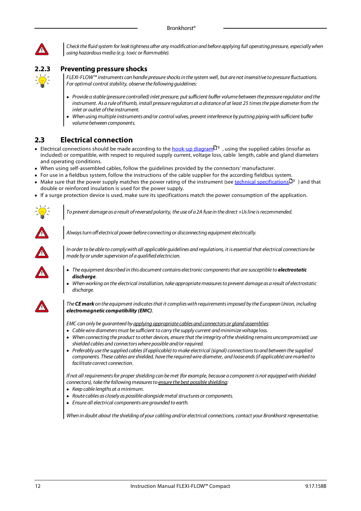

Check the fluid system for leak tightness after any modification and before applying full operating pressure, especially when using hazardous media (e.g. toxic or flammable).



## <span id="page-11-0"></span>**2.2.3 Preventing pressure shocks**

FLEXI-FLOW™ instruments can handle pressure shocks in the system well, but are not insensitive to pressure fluctuations. For optimal control stability, observe the following guidelines:

- · Provide a stable (pressure controlled) inlet pressure; put sufficient buffer volume between the pressure regulator and the instrument. As a rule of thumb, install pressure regulators at a distance of at least 25 times the pipe diameter from the inlet or outlet of the instrument.
- · When using multiple instruments and/or control valves, prevent interference by putting piping with sufficient buffer volume between components.

# <span id="page-11-1"></span>**2.3 Electrical connection**

- Electrical connections should be made according to the **[hook-up diagram](#page-8-0)**  $D^9$  , using the supplied cables (insofar as included) or compatible, with respect to required supply current, voltage loss, cable length, cable and gland diameters and operating conditions.
- · When using self-assembled cables, follow the guidelines provided by the connectors' manufacturer.
- · For use in a fieldbus system, follow the instructions of the cable supplier for the according fieldbus system.
- Make sure that the power supply matches the power rating of the instrument (see [technical specifications](#page-8-0)  $\mathbb{D}^9$ ) and that double or reinforced insulation is used for the power supply.
- · If a surge protection device is used, make sure its specifications match the power consumption of the application.



To prevent damage as a result of reversed polarity, the use of a 2A fuse in the direct +Us line is recommended.

Always turn off electrical power before connecting or disconnecting equipment electrically.



In order to be able to comply with all applicable guidelines and regulations, it is essential that electrical connections be made by or under supervision of a qualified electrician.



- · The equipment described in this document contains electronic components that are susceptible to **electrostatic discharge**.
- · When working on the electrical installation, take appropriate measures to prevent damage as a result of electrostatic discharge.



The **CE mark** on the equipment indicates that it complies with requirements imposed by the European Union, including **electromagnetic compatibility (EMC)**.

EMC can only be guaranteed by applying appropriate cables and connectors or gland assemblies:

- Cable wire diameters must be sufficient to carry the supply current and minimize voltage loss.
- When connecting the product to other devices, ensure that the integrity of the shielding remains uncompromised; use shielded cables and connectors where possible and/or required.
- · Preferably use the supplied cables (if applicable) to make electrical (signal) connections to and between the supplied components. These cables are shielded, have the required wire diameter, and loose ends (if applicable) are marked to facilitate correct connection.

If not all requirements for proper shielding can be met (for example, because a component is not equipped with shielded connectors), take the following measures to ensure the best possible shielding:

- · Keep cable lengths at a minimum.
- · Route cables as closely as possible alongside metal structures or components.
- · Ensure all electrical components are grounded to earth.

When in doubt about the shielding of your cabling and/or electrical connections, contact your Bronkhorst representative.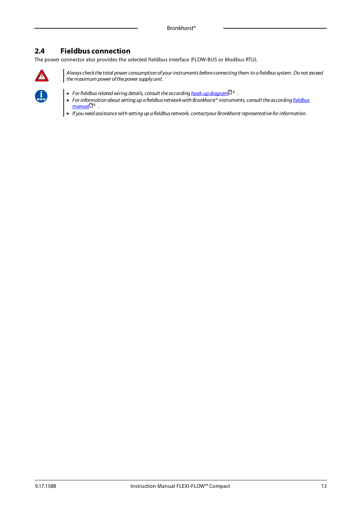# <span id="page-12-0"></span>**2.4 Fieldbus connection**

The power connector also provides the selected fieldbus interface (FLOW-BUS or Modbus RTU).



Always check the total power consumption of your instruments before connecting them to a fieldbus system. Do not exceed the maximum power of the power supply unit.



- $\bullet~$  For fieldbus related wiring details, consult the according <u>hook-up diagram</u> $\Box^{\mathfrak{g}}$  .
- For information about setting up a [fieldbus](#page-8-0) network with Bronkhorst® instruments, consult the according <u>fieldbus</u> [manual](#page-8-0) $\mathsf{D}^\mathsf{g}$  .
- If you need assistance with setting up a fieldbus network, contactyour Bronkhorst representative for information.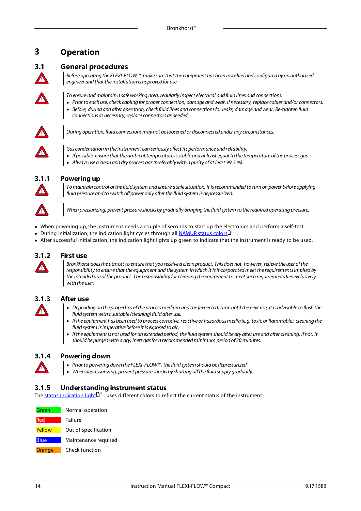# <span id="page-13-0"></span>**3 Operation**



# **3.1 General procedures**

Before operating the FLEXI-FLOW™, make sure that the equipment has been installed and configured by an authorized engineer and that the installation is approved for use.



#### To ensure and maintain a safe working area, regularly inspect electrical and fluid lines and connections:

- · Prior to each use, check cabling for proper connection, damage and wear. If necessary, replace cables and/or connectors.
- · Before, during and after operation, check fluid lines and connections for leaks, damage and wear. Re-tighten fluid connections as necessary, replace connectors as needed.



During operation, fluid connections may not be loosened or disconnected under any circumstances.



- Gas condensation in the instrument can seriously affect its performance and reliability.
- · If possible, ensure that the ambient temperature is stable and at least equal to the temperature of the process gas.
- ·Always use a clean and dry process gas (preferably with a purity of at least 99.5 %).



### <span id="page-13-1"></span>**3.1.1 Powering up**

To maintain control of the fluid system and ensure a safe situation, it is recommended to turn on power before applying fluid pressure and to switch off power only after the fluid system is depressurized.



When pressurizing, prevent pressure shocks by gradually bringing the fluid system to the required operating pressure.

- · When powering up, the instrument needs a couple of seconds to start up the electronics and perform a self-test.
- During initialization, the indication light cycles through all [NAMUR status colors](#page-7-1)  $2^8$ .
- After successful initialization, the indication light lights up green to indicate that the instrument is ready to be used.

# <span id="page-13-2"></span>**3.1.2 First use** W

W

Bronkhorst does the utmost to ensure that you receive a clean product. This does not, however, relieve the user of the responsibility to ensure that the equipment and the system in which it is incorporated meet the requirements implied by the intended use of the product. The responsibility for cleaning the equipment to meet such requirements lies exclusively with the user.

# <span id="page-13-3"></span>**3.1.3 After use**

- · Depending on the properties of the process medium and the (expected) time until the next use, it is advisable to flush the fluid system with a suitable (cleaning) fluid after use.
- · If the equipment has been used to process corrosive, reactive or hazardous media (e.g. toxic or flammable), cleaning the fluid system is imperative before it is exposed to air.
- · If the equipment is not used for an extended period, the fluid system should be dry after use and after cleaning. If not, it should be purged with a dry, inert gas for a recommended minimum period of 30 minutes.



# <span id="page-13-4"></span>**3.1.4 Powering down**

- Prior to powering down the FLEXI-FLOW™, the fluid system should be depressurized.<br>• When depressurizing, prevent pressure shocks by shutting off the fluid supply aredual
- When depressurizing, prevent pressure shocks by shutting off the fluid supply gradually.

# <span id="page-13-5"></span>**3.1.5 Understanding instrument status**

The [status indication light](#page-6-2)  $D^7$  uses different colors to reflect the current status of the instrument:

| Green       | Normal operation      |
|-------------|-----------------------|
| Red         | Failure               |
| Yellow      | Out of specification  |
| <b>Blue</b> | Maintenance required  |
| Orange      | <b>Check function</b> |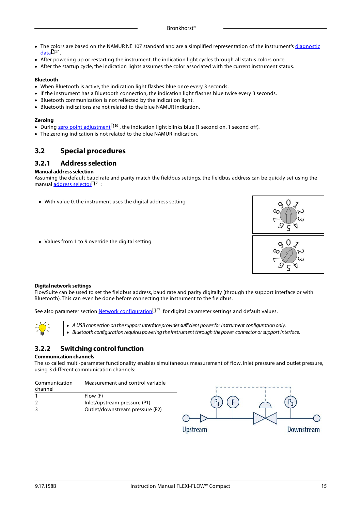- The colors are based on the NAMUR NE 107 standard and are a simplified representation of the instrument's [diagnostic](#page-16-4) [data](#page-16-4) <sup>17</sup> .
- After powering up or restarting the instrument, the indication light cycles through all status colors once.
- · After the startup cycle, the indication lights assumes the color associated with the current instrument status.

#### **Bluetooth**

- · When Bluetooth is active, the indication light flashes blue once every 3 seconds.
- · If the instrument has a Bluetooth connection, the indication light flashes blue twice every 3 seconds.
- · Bluetooth communication is not reflected by the indication light.
- · Bluetooth indications are not related to the blue NAMUR indication.

#### **Zeroing**

- · During [zero point adjustment](#page-15-1) , the indication light blinks blue (1 second on, 1 second off). 16
- The zeroing indication is not related to the blue NAMUR indication.

# <span id="page-14-0"></span>**3.2 Special procedures**

# **3.2.1 Address selection**

#### **Manual address selection**

Assuming the default baud rate and parity match the fieldbus settings, the fieldbus address can be quickly set using the manual <u>[address selector](#page-6-2)</u><sup>[]7</sup> :

· With value 0, the instrument uses the digital address setting



· Values from 1 to 9 override the digital setting

#### **Digital network settings**

FlowSuite can be used to set the fieldbus address, baud rate and parity digitally (through the support interface or with Bluetooth). This can even be done before connecting the instrument to the fieldbus.

See also parameter section <u>[Network configuration](#page-26-0)</u>  $\Box^{27}$  for digital parameter settings and default values.



· A USB connection on the support interface provides sufficient power for instrument configuration only.

· Bluetooth configuration requires powering the instrument through the power connector or support interface.

# <span id="page-14-1"></span>**3.2.2 Switching control function**

#### **Communication channels**

The so called multi-parameter functionality enables simultaneous measurement of flow, inlet pressure and outlet pressure, using 3 different communication channels:

| Communication | Measurement and control variable |  |
|---------------|----------------------------------|--|
|               |                                  |  |

| channel |                                 |
|---------|---------------------------------|
|         | Flow (F)                        |
|         | Inlet/upstream pressure (P1)    |
| ્ર      | Outlet/downstream pressure (P2) |

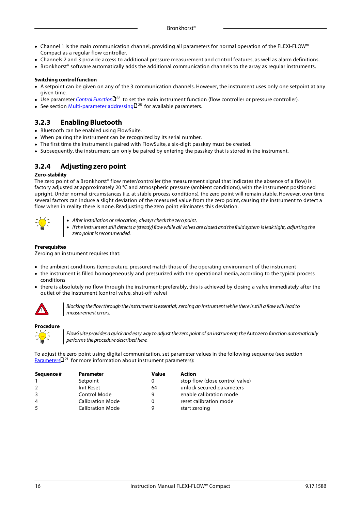- · Channel 1 is the main communication channel, providing all parameters for normal operation of the FLEXI-FLOW™ Compact as a regular flow controller.
- · Channels 2 and 3 provide access to additional pressure measurement and control features, as well as alarm definitions.
- · Bronkhorst® software automatically adds the additional communication channels to the array as regular instruments.

#### **Switching control function**

- · A setpoint can be given on any of the 3 communication channels. However, the instrument uses only one setpoint at any given time.
- Use parameter *[Control Function](#page-21-1)*  $\Box$ <sup>22</sup> to set the main instrument function (flow controller or pressure controller).
- See section  $\frac{1}{\text{Multi-parameter addressing}}$  $\frac{1}{\text{Multi-parameter addressing}}$  $\frac{1}{\text{Multi-parameter addressing}}$  of the main measurements of the section  $\frac{1}{\text{Multi-parameter addressing}}$  for available parameters.

# <span id="page-15-0"></span>**3.2.3 Enabling Bluetooth**

- · Bluetooth can be enabled using FlowSuite.
- · When pairing the instrument can be recognized by its serial number.
- The first time the instrument is paired with FlowSuite, a six-digit passkey must be created.
- · Subsequently, the instrument can only be paired by entering the passkey that is stored in the instrument.

# <span id="page-15-1"></span>**3.2.4 Adjusting zero point**

#### **Zero-stability**

The zero point of a Bronkhorst® flow meter/controller (the measurement signal that indicates the absence of a flow) is factory adjusted at approximately 20 °C and atmospheric pressure (ambient conditions), with the instrument positioned upright. Under normal circumstances (i.e. at stable process conditions), the zero point will remain stable. However, over time several factors can induce a slight deviation of the measured value from the zero point, causing the instrument to detect a flow when in reality there is none. Readjusting the zero point eliminates this deviation.



- After installation or relocation, always check the zero point.<br>• If the instrument still detects a (steady) flow while all values or
- If the instrument still detects a (steady) flow while all valves are closed and the fluid system is leak tight, adjusting the zero point is recommended.

#### **Prerequisites**

Zeroing an instrument requires that:

- · the ambient conditions (temperature, pressure) match those of the operating environment of the instrument
- · the instrument is filled homogeneously and pressurized with the operational media, according to the typical process conditions
- · there is absolutely no flow through the instrument; preferably, this is achieved by closing a valve immediately after the outlet of the instrument (control valve, shut-off valve)



Blocking the flow through the instrument is essential; zeroing an instrument while there is still a flow will lead to measurement errors.

#### **Procedure**



FlowSuite provides a quick and easy way to adjust the zero point of an instrument; the Autozero function automatically performs the procedure described here.

To adjust the zero point using digital communication, set parameter values in the following sequence (see section [Parameters](#page-20-1)<sup>D21</sup> for more information about instrument parameters):

| Sequence #     | <b>Parameter</b>        | Value | Action                          |
|----------------|-------------------------|-------|---------------------------------|
|                | Setpoint                |       | stop flow (close control valve) |
| 2              | Init Reset              | 64    | unlock secured parameters       |
| 3              | Control Mode            |       | enable calibration mode         |
| $\overline{4}$ | <b>Calibration Mode</b> |       | reset calibration mode          |
| -5             | <b>Calibration Mode</b> | q     | start zeroing                   |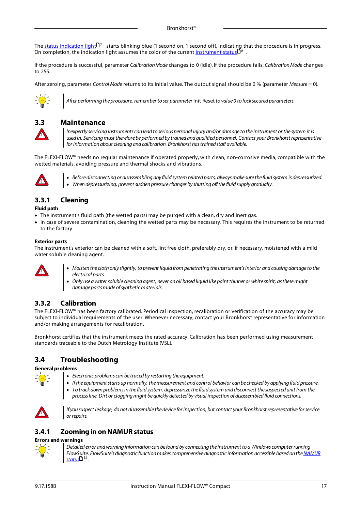The <u>[status indication light](#page-6-2)</u> D<sup>7</sup> starts blinking blue (1 second on, 1 second off), indicating that the procedure is in progress. On completion, the indication light assumes the color of the current <u>[instrument status](#page-7-1)</u> $\Box^8$  .

If the procedure is successful, parameter Calibration Mode changes to 0 (idle). If the procedure fails, Calibration Mode changes to 255.

After zeroing, parameter Control Mode returns to its initial value. The output signal should be 0 % (parameter Measure = 0).



After performing the procedure, remember to set parameter Init Reset to value 0 to lock secured parameters.



# <span id="page-16-0"></span>**3.3 Maintenance**

Inexpertly servicing instruments can lead to serious personal injury and/or damage to the instrument or the system it is used in. Servicing must therefore be performed by trained and qualified personnel. Contact your Bronkhorst representative for information about cleaning and calibration. Bronkhorst has trained staff available.

The FLEXI-FLOW™ needs no regular maintenance if operated properly, with clean, non-corrosive media, compatible with the wetted materials, avoiding pressure and thermal shocks and vibrations.



· Before disconnecting or disassembling any fluid system related parts, always make sure the fluid system is depressurized. · When depressurizing, prevent sudden pressure changes by shutting off the fluid supply gradually.

# <span id="page-16-1"></span>**3.3.1 Cleaning**

#### **Fluid path**

- · The instrument's fluid path (the wetted parts) may be purged with a clean, dry and inert gas.
- · In case of severe contamination, cleaning the wetted parts may be necessary. This requires the instrument to be returned to the factory.

#### **Exterior parts**

The instrument's exterior can be cleaned with a soft, lint free cloth, preferably dry, or, if necessary, moistened with a mild water soluble cleaning agent.



- · Moisten the cloth only slightly, to prevent liquid from penetrating the instrument's interior and causing damage to the electrical parts.
- · Only use a water soluble cleaning agent, never an oil based liquid like paint thinner or white spirit, as these might damage parts made of synthetic materials.

# <span id="page-16-2"></span>**3.3.2 Calibration**

The FLEXI-FLOW™ has been factory calibrated. Periodical inspection, recalibration or verification of the accuracy may be subject to individual requirements of the user. Whenever necessary, contact your Bronkhorst representative for information and/or making arrangements for recalibration.

Bronkhorst certifies that the instrument meets the rated accuracy. Calibration has been performed using measurement standards traceable to the Dutch Metrology Institute (VSL).

# <span id="page-16-3"></span>**3.4 Troubleshooting**

#### **General problems**

- 
- · Electronic problems can be traced by restarting the equipment.
- · If the equipment starts up normally, the measurement and control behavior can be checked by applying fluid pressure. · To track down problems in the fluid system, depressurize the fluid system and disconnect the suspected unit from the
- process line. Dirt or clogging might be quickly detected by visual inspection of disassembled fluid connections.



If you suspect leakage, do not disassemble the device for inspection, but contact your Bronkhorst representative for service or repairs.

# <span id="page-16-4"></span>**3.4.1 Zooming in on NAMUR status**

#### **Errors and warnings**



Detailed error and warning information can be found by connecting the instrument to a Windows computer running FlowSuite. FlowSuite's diagnostic function makes comprehensive diagnostic information accessible based on the [NAMUR](#page-13-5) .<sup>14</sup>.ة[status](#page-13-5)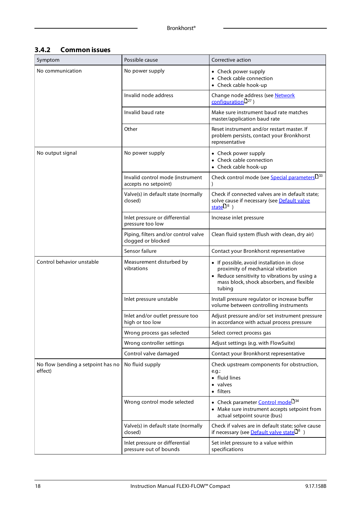# <span id="page-17-0"></span>**3.4.2 Common issues**

| Symptom                                       | Possible cause                                             | Corrective action                                                                                                                                                                     |  |
|-----------------------------------------------|------------------------------------------------------------|---------------------------------------------------------------------------------------------------------------------------------------------------------------------------------------|--|
| No communication                              | No power supply                                            | • Check power supply<br>• Check cable connection<br>• Check cable hook-up                                                                                                             |  |
|                                               | Invalid node address                                       | Change node address (see Network<br>configuration $D^{27}$ )                                                                                                                          |  |
|                                               | Invalid baud rate                                          | Make sure instrument baud rate matches<br>master/application baud rate                                                                                                                |  |
|                                               | Other                                                      | Reset instrument and/or restart master. If<br>problem persists, contact your Bronkhorst<br>representative                                                                             |  |
| No output signal                              | No power supply                                            | • Check power supply<br>Check cable connection<br>Check cable hook-up                                                                                                                 |  |
|                                               | Invalid control mode (instrument<br>accepts no setpoint)   | Check control mode (see Special parameters <sup>D33</sup>                                                                                                                             |  |
|                                               | Valve(s) in default state (normally<br>closed)             | Check if connected valves are in default state;<br>solve cause if necessary (see Default valve<br>$state^{58}$ )                                                                      |  |
|                                               | Inlet pressure or differential<br>pressure too low         | Increase inlet pressure                                                                                                                                                               |  |
|                                               | Piping, filters and/or control valve<br>clogged or blocked | Clean fluid system (flush with clean, dry air)                                                                                                                                        |  |
|                                               | Sensor failure                                             | Contact your Bronkhorst representative                                                                                                                                                |  |
| Control behavior unstable                     | Measurement disturbed by<br>vibrations                     | • If possible, avoid installation in close<br>proximity of mechanical vibration<br>Reduce sensitivity to vibrations by using a<br>mass block, shock absorbers, and flexible<br>tubing |  |
|                                               | Inlet pressure unstable                                    | Install pressure regulator or increase buffer<br>volume between controlling instruments                                                                                               |  |
|                                               | Inlet and/or outlet pressure too<br>high or too low        | Adjust pressure and/or set instrument pressure<br>in accordance with actual process pressure                                                                                          |  |
|                                               | Wrong process gas selected                                 | Select correct process gas                                                                                                                                                            |  |
|                                               | Wrong controller settings                                  | Adjust settings (e.g. with FlowSuite)                                                                                                                                                 |  |
|                                               | Control valve damaged                                      | Contact your Bronkhorst representative                                                                                                                                                |  |
| No flow (sending a setpoint has no<br>effect) | No fluid supply                                            | Check upstream components for obstruction,<br>e.g.<br>• fluid lines<br>• valves<br>• filters                                                                                          |  |
|                                               | Wrong control mode selected                                | • Check parameter <b>Control mode</b> D <sup>34</sup><br>• Make sure instrument accepts setpoint from<br>actual setpoint source (bus)                                                 |  |
|                                               | Valve(s) in default state (normally<br>closed)             | Check if valves are in default state; solve cause<br>if necessary (see Default valve state <sup>D8</sup> )                                                                            |  |
|                                               | Inlet pressure or differential<br>pressure out of bounds   | Set inlet pressure to a value within<br>specifications                                                                                                                                |  |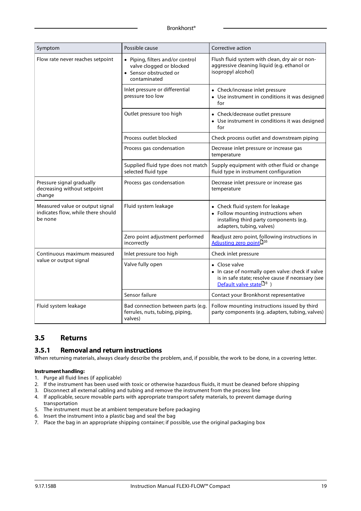| Symptom                                                                          | Possible cause                                                                                         | Corrective action                                                                                                                                     |
|----------------------------------------------------------------------------------|--------------------------------------------------------------------------------------------------------|-------------------------------------------------------------------------------------------------------------------------------------------------------|
| Flow rate never reaches setpoint                                                 | • Piping, filters and/or control<br>valve clogged or blocked<br>• Sensor obstructed or<br>contaminated | Flush fluid system with clean, dry air or non-<br>aggressive cleaning liquid (e.g. ethanol or<br>isopropyl alcohol)                                   |
|                                                                                  | Inlet pressure or differential<br>pressure too low                                                     | • Check/increase inlet pressure<br>• Use instrument in conditions it was designed<br>for                                                              |
|                                                                                  | Outlet pressure too high                                                                               | • Check/decrease outlet pressure<br>• Use instrument in conditions it was designed<br>for                                                             |
|                                                                                  | Process outlet blocked                                                                                 | Check process outlet and downstream piping                                                                                                            |
|                                                                                  | Process gas condensation                                                                               | Decrease inlet pressure or increase gas<br>temperature                                                                                                |
|                                                                                  | Supplied fluid type does not match<br>selected fluid type                                              | Supply equipment with other fluid or change<br>fluid type in instrument configuration                                                                 |
| Pressure signal gradually<br>decreasing without setpoint<br>change               | Process gas condensation                                                                               | Decrease inlet pressure or increase gas<br>temperature                                                                                                |
| Measured value or output signal<br>indicates flow, while there should<br>be none | Fluid system leakage                                                                                   | • Check fluid system for leakage<br>• Follow mounting instructions when<br>installing third party components (e.g.<br>adapters, tubing, valves)       |
|                                                                                  | Zero point adjustment performed<br>incorrectly                                                         | Readjust zero point, following instructions in<br>Adjusting zero point <sup>D16</sup>                                                                 |
| Continuous maximum measured                                                      | Inlet pressure too high                                                                                | Check inlet pressure                                                                                                                                  |
| value or output signal                                                           | Valve fully open                                                                                       | • Close valve<br>• In case of normally open valve: check if valve<br>is in safe state; resolve cause if necessary (see<br>Default valve state $D^8$ ) |
|                                                                                  | Sensor failure                                                                                         | Contact your Bronkhorst representative                                                                                                                |
| Fluid system leakage                                                             | Bad connection between parts (e.g.<br>ferrules, nuts, tubing, piping,<br>valves)                       | Follow mounting instructions issued by third<br>party components (e.g. adapters, tubing, valves)                                                      |

# <span id="page-18-0"></span>**3.5 Returns**

### **3.5.1 Removal and return instructions**

When returning materials, always clearly describe the problem, and, if possible, the work to be done, in a covering letter.

#### **Instrument handling:**

- 1. Purge all fluid lines (if applicable)
- 2. If the instrument has been used with toxic or otherwise hazardous fluids, it must be cleaned before shipping
- 3. Disconnect all external cabling and tubing and remove the instrument from the process line
- 4. If applicable, secure movable parts with appropriate transport safety materials, to prevent damage during transportation
- 5. The instrument must be at ambient temperature before packaging
- 6. Insert the instrument into a plastic bag and seal the bag
- 7. Place the bag in an appropriate shipping container; if possible, use the original packaging box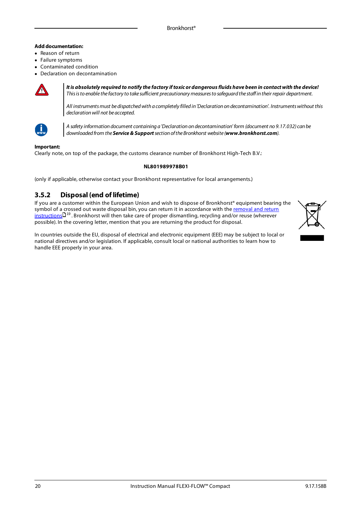#### **Add documentation:**

- · Reason of return
- · Failure symptoms
- · Contaminated condition
- · Declaration on decontamination



**It is absolutely required to notify the factory if toxic or dangerous fluids have been in contact with the device!** This is to enable the factory to take sufficient precautionary measures to safeguard the staff in their repair department.

All instruments must be dispatched with a completely filled in 'Declaration on decontamination'. Instruments without this declaration will not be accepted.



A safety information document containing a 'Declaration on decontamination' form (document no 9.17.032) can be downloaded from the **Service & Support** section of the Bronkhorst website (**[www.bronkhorst.com](https://www.bronkhorst.com)**).

#### **Important:**

Clearly note, on top of the package, the customs clearance number of Bronkhorst High-Tech B.V.:

#### **NL801989978B01**

(only if applicable, otherwise contact your Bronkhorst representative for local arrangements.)

# <span id="page-19-0"></span>**3.5.2 Disposal (end of lifetime)**

If you are a customer within the European Union and wish to dispose of Bronkhorst® equipment bearing the symbol of a crossed out waste disposal bin, you can return it in accordance with the [removal and return](#page-18-0)  $\frac{\text{instrumention}}{\text{D}}^{19}$ . Bronkhorst will then take care of proper dismantling, recycling and/or reuse (wherever possible). In the covering letter, mention that you are returning the product for disposal.

In countries outside the EU, disposal of electrical and electronic equipment (EEE) may be subject to local or national directives and/or legislation. If applicable, consult local or national authorities to learn how to handle EEE properly in your area.

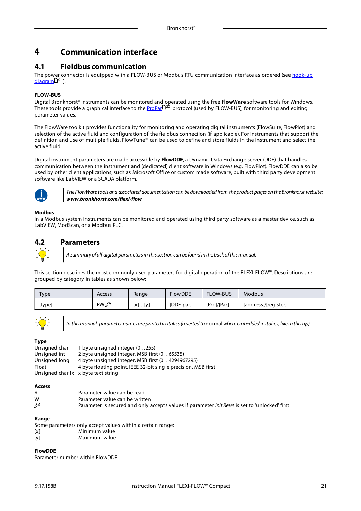# <span id="page-20-0"></span>**4 Communication interface**

# **4.1 Fieldbus communication**

The power connector is equipped with a FLOW-BUS or Modbus RTU communication interface as ordered (see [hook-up](#page-8-0) [diagram](#page-8-0)<sup>[1] 9</sup> ).

#### **FLOW-BUS**

Digital Bronkhorst® instruments can be monitored and operated using the free **FlowWare** software tools for Windows. These tools provide a graphical interface to the  $\rm{ProPar}^{D22}$  $\rm{ProPar}^{D22}$  $\rm{ProPar}^{D22}$  protocol (used by FLOW-BUS), for monitoring and editing parameter values.

The FlowWare toolkit provides functionality for monitoring and operating digital instruments (FlowSuite, FlowPlot) and selection of the active fluid and configuration of the fieldbus connection (if applicable). For instruments that support the definition and use of multiple fluids, FlowTune™ can be used to define and store fluids in the instrument and select the active fluid.

Digital instrument parameters are made accessible by **FlowDDE**, a Dynamic Data Exchange server (DDE) that handles communication between the instrument and (dedicated) client software in Windows (e.g. FlowPlot). FlowDDE can also be used by other client applications, such as Microsoft Office or custom made software, built with third party development software like LabVIEW or a SCADA platform.



The FlowWare tools and associated documentation can be downloaded from the product pages on the Bronkhorst website: **[www.bronkhorst.com/flexi-flow](https://www.bronkhorst.com/flexi-flow)**

#### **Modbus**

In a Modbus system instruments can be monitored and operated using third party software as a master device, such as LabVIEW, ModScan, or a Modbus PLC.

# <span id="page-20-1"></span>**4.2 Parameters**

A summary of all digital parameters in this section can be found in the back of this manual.

This section describes the most commonly used parameters for digital operation of the FLEXI-FLOW™. Descriptions are grouped by category in tables as shown below:

| Type   | Access         | Range  | FlowDDE   | <b>FLOW-BUS</b> | Modbus               |
|--------|----------------|--------|-----------|-----------------|----------------------|
| [type] | $RW$ $\oslash$ | [x][y] | [DDE par] | [Pro]/[Par]     | [address]/[register] |



[In](http://whttp://www.bronkhorst.com/en/downloads/) this manual, parameter names are printed in italics (reverted to normal where embedded in italics, like in this tip).

# **Type**

| Unsigned char                          | 1 byte unsigned integer (0255)                                 |
|----------------------------------------|----------------------------------------------------------------|
| Unsigned int                           | 2 byte unsigned integer, MSB first (065535)                    |
| Unsianed lona                          | 4 byte unsigned integer, MSB first (04294967295)               |
| Float                                  | 4 byte floating point, IEEE 32-bit single precision, MSB first |
| Unsigned char $[x]$ x byte text string |                                                                |

### **Access**

| Parameter value can be read                                                                            |
|--------------------------------------------------------------------------------------------------------|
| Parameter value can be written                                                                         |
| Parameter is secured and only accepts values if parameter <i>lnit Reset</i> is set to 'unlocked' first |
|                                                                                                        |

#### **Range**

Some parameters only accept values within a certain range:

- [x] Minimum value
- [y] Maximum value

#### **FlowDDE**

Parameter number within FlowDDE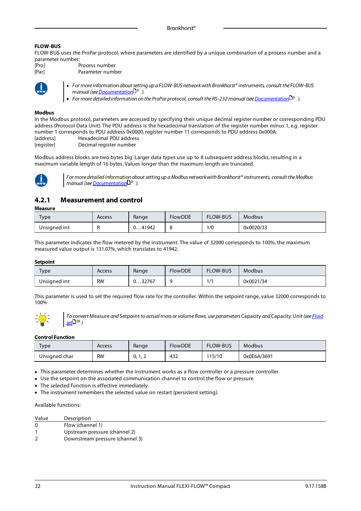#### <span id="page-21-2"></span>**FLOW-BUS**

FLOW-BUS uses the ProPar protocol, where parameters are identified by a unique combination of a process number and a parameter number:

| [Pro] | Process number   |
|-------|------------------|
| [Par] | Parameter number |



· For more information about setting up a FLOW-BUS network with Bronkhorst® instruments, consult the FLOW-BUS manual (see <u>[Documentation](#page-8-0)</u> $\Box^9$  ). ·

For more detailed information on the ProPar protocol, consult the RS-232 manual (see *Documentation* L<sup>19</sup>).

#### **Modbus**

In the Modbus protocol, parameters are accessed by specifying their unique decimal register number or corresponding PDU address (Protocol Data Unit). The PDU address is the hexadecimal translation of the register number minus 1, e.g. register number 1 corresponds to PDU address 0x0000, register number 11 corresponds to PDU address 0x000A:

[address] Hexadecimal PDU address Decimal register number

Modbus address blocks are two bytes big. Larger data types use up to 8 subsequent address blocks, resulting in a maximum variable length of 16 bytes. Values longer than the maximum length are truncated.



For more detailed information about setting up a Modbus network with Bronkhorst® instruments, consult the Modbus manual (see <u>Documentation</u> $\Box^9$  ).

## <span id="page-21-0"></span>**4.2.1 Measurement and control**

#### <span id="page-21-3"></span>**Measure**

| Type         | Access | Range  | FlowDDE | <b>FLOW-BUS</b> | Modbus    |
|--------------|--------|--------|---------|-----------------|-----------|
| Unsianed int | . .    | 041942 |         | 1/0             | 0x0020/33 |

This parameter indicates the flow metered by the instrument. The value of 32000 corresponds to 100%, the maximum measured value output is 131.07%, which translates to 41942.

#### <span id="page-21-4"></span>**Setpoint**

| Type         | Access    | Range  | FlowDDE | <b>FLOW-BUS</b>         | Modbus    |
|--------------|-----------|--------|---------|-------------------------|-----------|
| Unsigned int | <b>RW</b> | 032767 |         | $\overline{11}$<br>17 I | 0x0021/34 |

This parameter is used to set the required flow rate for the controller. Within the setpoint range, value 32000 corresponds to 100%



To convert Measure and Setpoint to actual mass or volume flows, use parameters Capacity and Capacity Unit (see [Fluid](#page-27-0) <u>[set](#page-27-0)</u>∐28)

#### <span id="page-21-1"></span>**Control Function**

| Type          | Access    | Range                          | <b>FlowDDE</b> | <b>FLOW-BUS</b> | <b>Modbus</b> |
|---------------|-----------|--------------------------------|----------------|-----------------|---------------|
| Unsigned char | <b>RW</b> | v.<br>$\overline{\phantom{a}}$ | 432            | 115/10          | 0x0E6A/3691   |

· This parameter determines whether the instrument works as a flow controller or a pressure controller.

· Use the setpoint on the associated communication channel to control the flow or pressure.

· The selected function is effective immediately.

· The instrument remembers the selected value on restart (persistent setting).

#### Available functions:

| Value | Description                     |
|-------|---------------------------------|
| 0     | Flow (channel 1)                |
|       | Upstream pressure (channel 2)   |
|       | Downstream pressure (channel 3) |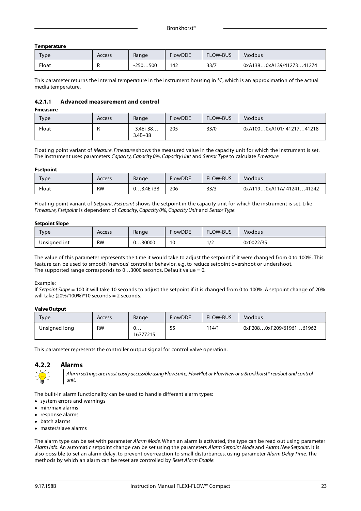#### <span id="page-22-5"></span>**Temperature**

| Type  | Access | Range     | <b>FlowDDE</b> | <b>FLOW-BUS</b> | Modbus                  |
|-------|--------|-----------|----------------|-----------------|-------------------------|
| Float |        | $-250500$ | 142            | 33/7            | 0xA1380xA139/4127341274 |

This parameter returns the internal temperature in the instrument housing in °C, which is an approximation of the actual media temperature.

#### <span id="page-22-0"></span>**4.2.1.1 Advanced measurement and control**

#### <span id="page-22-2"></span>**Fmeasure**

| <b>Type</b> | Access | Range                       | FlowDDE | <b>FLOW-BUS</b> | Modbus                  |
|-------------|--------|-----------------------------|---------|-----------------|-------------------------|
| Float       | и      | $-3.4E + 38$<br>$3.4E + 38$ | 205     | 33/0            | 0xA1000xA101/4121741218 |

Floating point variant of Measure. Fmeasure shows the measured value in the capacity unit for which the instrument is set. The instrument uses parameters Capacity, Capacity 0%, Capacity Unit and Sensor Type to calculate Fmeasure.

#### <span id="page-22-3"></span>**Fsetpoint**

| Type  | Access    | Range      | <b>FlowDDE</b> | <b>FLOW-BUS</b> | Modbus                  |
|-------|-----------|------------|----------------|-----------------|-------------------------|
| Float | <b>RW</b> | $03.4E+38$ | 206            | 33/3            | 0xA1190xA11A/4124141242 |

Floating point variant of Setpoint. Fsetpoint shows the setpoint in the capacity unit for which the instrument is set. Like Fmeasure, Fsetpoint is dependent of Capacity, Capacity 0%, Capacity Unit and Sensor Type.

#### <span id="page-22-4"></span>**Setpoint Slope**

| Type         | Access    | Range  | <b>FlowDDE</b> | <b>FLOW-BUS</b> | Modbus    |
|--------------|-----------|--------|----------------|-----------------|-----------|
| Unsianed int | <b>RW</b> | 030000 | 10             | 17 Z            | 0x0022/35 |

The value of this parameter represents the time it would take to adjust the setpoint if it were changed from 0 to 100%. This feature can be used to smooth 'nervous' controller behavior, e.g. to reduce setpoint overshoot or undershoot. The supported range corresponds to  $0...3000$  seconds. Default value = 0.

#### Example:

If Setpoint Slope = 100 it will take 10 seconds to adjust the setpoint if it is changed from 0 to 100%. A setpoint change of 20% will take (20%/100%)\*10 seconds = 2 seconds.

#### <span id="page-22-6"></span>**Valve Output**

| Type          | Access    | Range         | <b>FlowDDE</b> | <b>FLOW-BUS</b> | Modbus                  |
|---------------|-----------|---------------|----------------|-----------------|-------------------------|
| Unsigned long | <b>RW</b> | ∪<br>16777215 | 55             | 114/1           | 0xF2080xF209/6196161962 |

This parameter represents the controller output signal for control valve operation.

#### <span id="page-22-1"></span>**4.2.2 Alarms**



Alarm settings are most easily accessible using FlowSuite, FlowPlot or FlowView or a Bronkhorst® readout and control unit.

The built-in alarm functionality can be used to handle different alarm types:

- · system errors and warnings
- · min/max alarms
- · response alarms
- · batch alarms
- · master/slave alarms

The alarm type can be set with parameter Alarm Mode. When an alarm is activated, the type can be read out using parameter Alarm Info. An automatic setpoint change can be set using the parameters Alarm Setpoint Mode and Alarm New Setpoint. It is also possible to set an alarm delay, to prevent overreaction to small disturbances, using parameter Alarm Delay Time. The methods by which an alarm can be reset are controlled by Reset Alarm Enable.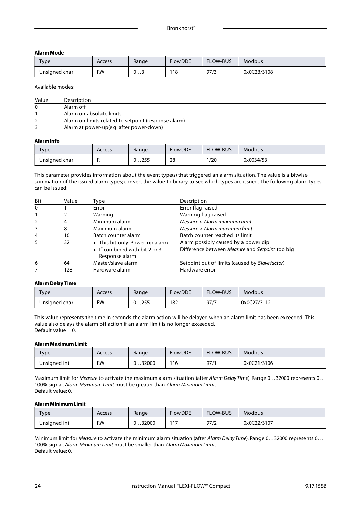#### <span id="page-23-4"></span>**Alarm Mode**

| Type          | Access    | Range | FlowDDE | <b>FLOW-BUS</b> | Modbus      |
|---------------|-----------|-------|---------|-----------------|-------------|
| Unsigned char | <b>RW</b> | 0. 3  | 118     | 97/3            | 0x0C23/3108 |

Available modes:

| Value | Description                                          |
|-------|------------------------------------------------------|
| 0     | Alarm off                                            |
|       | Alarm on absolute limits                             |
|       | Alarm on limits related to setpoint (response alarm) |
|       | Alarm at power-up(e.g. after power-down)             |

#### <span id="page-23-1"></span>**Alarm Info**

| Type          | Access | Range | FlowDDE | <b>FLOW-BUS</b> | Modbus    |
|---------------|--------|-------|---------|-----------------|-----------|
| Unsigned char |        | 0255  | 28      | /20             | 0x0034/53 |

This parameter provides information about the event type(s) that triggered an alarm situation. The value is a bitwise summation of the issued alarm types; convert the value to binary to see which types are issued. The following alarm types can be issued:

| Bit          | Value | Type                                             | Description                                     |
|--------------|-------|--------------------------------------------------|-------------------------------------------------|
| $\mathbf{0}$ |       | Error                                            | Error flag raised                               |
| $\mathbf{1}$ |       | Warning                                          | Warning flag raised                             |
| 2            | 4     | Minimum alarm                                    | Measure < Alarm minimum limit                   |
| 3            | 8     | Maximum alarm                                    | Measure > Alarm maximum limit                   |
| 4            | 16    | Batch counter alarm                              | Batch counter reached its limit                 |
| 5            | 32    | • This bit only: Power-up alarm                  | Alarm possibly caused by a power dip            |
|              |       | • If combined with bit 2 or 3:<br>Response alarm | Difference between Measure and Setpoint too big |
| 6            | 64    | Master/slave alarm                               | Setpoint out of limits (caused by Slave factor) |
| 7            | 128   | Hardware alarm                                   | Hardware error                                  |

#### <span id="page-23-0"></span>**Alarm Delay Time**

| Type          | Access    | Range              | FlowDDE | <b>FLOW-BUS</b> | Modbus      |
|---------------|-----------|--------------------|---------|-----------------|-------------|
| Unsianed char | <b>RW</b> | つらら<br><u>uzjj</u> | 182     | 97/7            | 0x0C27/3112 |

This value represents the time in seconds the alarm action will be delayed when an alarm limit has been exceeded. This value also delays the alarm off action if an alarm limit is no longer exceeded. Default value  $= 0$ .

#### <span id="page-23-2"></span>**Alarm Maximum Limit**

| Type         | Access    | Range  | FlowDDE | <b>FLOW-BUS</b> | Modbus      |
|--------------|-----------|--------|---------|-----------------|-------------|
| Unsianed int | <b>RW</b> | 032000 | 116     | 97/1            | 0x0C21/3106 |

Maximum limit for Measure to activate the maximum alarm situation (after Alarm Delay Time). Range 0...32000 represents 0... 100% signal. Alarm Maximum Limit must be greater than Alarm Minimum Limit. Default value: 0.

#### <span id="page-23-3"></span>**Alarm Minimum Limit**

| Type         | Access    | Range  | <b>FlowDDE</b> | <b>FLOW-BUS</b> | Modbus      |
|--------------|-----------|--------|----------------|-----------------|-------------|
| Unsigned int | <b>RW</b> | 032000 |                | 97/2            | 0x0C22/3107 |

Minimum limit for Measure to activate the minimum alarm situation (after Alarm Delay Time). Range 0...32000 represents 0... 100% signal. Alarm Minimum Limit must be smaller than Alarm Maximum Limit. Default value: 0.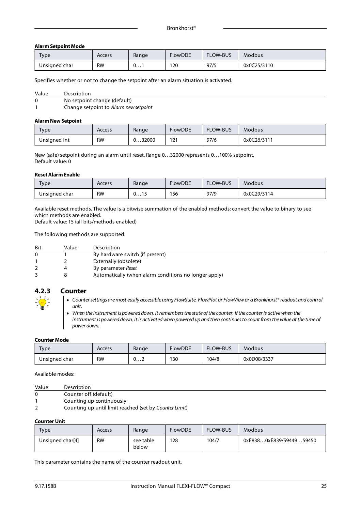#### <span id="page-24-2"></span>**Alarm Setpoint Mode**

| Type          | Access    | Range | <b>FlowDDE</b> | <b>FLOW-BUS</b> | Modbus      |
|---------------|-----------|-------|----------------|-----------------|-------------|
| Unsigned char | <b>RW</b> | ∪ ।   | 120            | 97/5            | 0x0C25/3110 |

Specifies whether or not to change the setpoint after an alarm situation is activated.

| Value    | Description                  |
|----------|------------------------------|
| $\Omega$ | No setpoint change (default) |
|          |                              |

1 Change setpoint to Alarm new setpoint

#### <span id="page-24-1"></span>**Alarm New Setpoint**

| Type         | Access    | Range  | <b>FlowDDE</b> | <b>FLOW-BUS</b> | Modbus      |
|--------------|-----------|--------|----------------|-----------------|-------------|
| Unsigned int | <b>RW</b> | 032000 | 121            | 97/6            | 0x0C26/3111 |

New (safe) setpoint during an alarm until reset. Range 0…32000 represents 0…100% setpoint. Default value: 0

#### <span id="page-24-3"></span>**Reset Alarm Enable**

| Type          | Access | Range          | <b>FlowDDE</b> | <b>FLOW-BUS</b> | Modbus      |
|---------------|--------|----------------|----------------|-----------------|-------------|
| Unsigned char | RW     | 1 F<br><u></u> | 156            | 97/9            | 0x0C29/3114 |

Available reset methods. The value is a bitwise summation of the enabled methods; convert the value to binary to see which methods are enabled.

Default value: 15 (all bits/methods enabled)

The following methods are supported:

| Bit | Value | Description                                           |
|-----|-------|-------------------------------------------------------|
|     |       | By hardware switch (if present)                       |
|     |       | Externally (obsolete)                                 |
|     |       | By parameter Reset                                    |
|     |       | Automatically (when alarm conditions no longer apply) |

# <span id="page-24-0"></span>**4.2.3 Counter**

- · Counter settings are most easily accessible using FlowSuite, FlowPlot or FlowView or a Bronkhorst® readout and control unit.
- · When the instrument is powered down, it remembers the state of the counter. If the counter is active when the instrument is powered down, it is activated when powered up and then continues to count from the value at the time of power down.

#### <span id="page-24-4"></span>**Counter Mode**

| Type          | Access    | Range | <b>FlowDDE</b> | <b>FLOW-BUS</b> | <b>Modbus</b> |
|---------------|-----------|-------|----------------|-----------------|---------------|
| Unsigned char | <b>RW</b> | ◡∠    | 30             | 104/8           | 0x0D08/3337   |

Available modes:

| Value    | Description           |
|----------|-----------------------|
| $\Omega$ | Counter off (default) |

1 Counting up continuously

2 Counting up until limit reached (set by Counter Limit)

#### <span id="page-24-5"></span>**Counter Unit**

| Type                         | Access    | Range              | <b>FlowDDE</b> | <b>FLOW-BUS</b> | Modbus                  |
|------------------------------|-----------|--------------------|----------------|-----------------|-------------------------|
| Unsigned char <sup>[4]</sup> | <b>RW</b> | see table<br>below | 128            | 104/7           | 0xE8380xE839/5944959450 |

This parameter contains the name of the counter readout unit.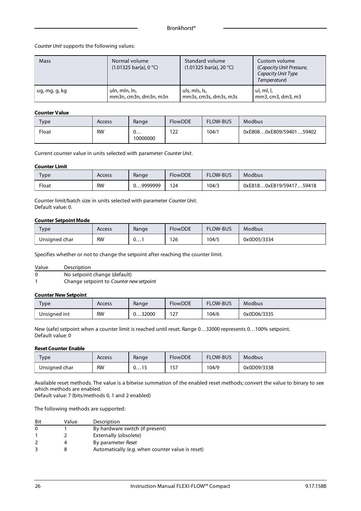Counter Unit supports the following values:

| Mass          | Normal volume<br>$(1.01325 \text{ bar(a)}, 0 \degree C)$ | Standard volume<br>$(1.01325 \text{ bar(a)}, 20 \text{ }^{\circ}\text{C})$ | Custom volume<br>(Capacity Unit Pressure,<br>Capacity Unit Type<br>Temperature) |
|---------------|----------------------------------------------------------|----------------------------------------------------------------------------|---------------------------------------------------------------------------------|
| ug, mg, g, kg | uln, mln, ln,                                            | uls, mls, ls,                                                              | ul, ml, l,                                                                      |
|               | mm3n, cm3n, dm3n, m3n                                    | mm3s, cm3s, dm3s, m3s                                                      | mm3, cm3, dm3, m3                                                               |

#### <span id="page-25-3"></span>**Counter Value**

| Type  | Access    | Range         | <b>FlowDDE</b> | <b>FLOW-BUS</b> | Modbus                  |
|-------|-----------|---------------|----------------|-----------------|-------------------------|
| Float | <b>RW</b> | ∪<br>10000000 | 122            | 104/1           | 0xE8080xE809/5940159402 |

Current counter value in units selected with parameter Counter Unit.

#### <span id="page-25-0"></span>**Counter Limit**

| Type  | Access    | Range    | <b>FlowDDE</b> | <b>FLOW-BUS</b> | Modbus                  |
|-------|-----------|----------|----------------|-----------------|-------------------------|
| Float | <b>RW</b> | 09999999 | 124            | 104/3           | 0xE8180xE819/5941759418 |

Counter limit/batch size in units selected with parameter Counter Unit. Default value: 0.

#### <span id="page-25-2"></span>**Counter Setpoint Mode**

| Type          | Access    | Range      | <b>FlowDDE</b> | <b>FLOW-BUS</b> | Modbus      |
|---------------|-----------|------------|----------------|-----------------|-------------|
| Unsianed char | <b>RW</b> | <b>U</b> I | 126            | 104/5           | 0x0D05/3334 |

Specifies whether or not to change the setpoint after reaching the counter limit.

| Value | Description |
|-------|-------------|
|       |             |

0 No setpoint change (default)

1 Change setpoint to Counter new setpoint

#### <span id="page-25-1"></span>**Counter New Setpoint**

| Type <sub>1</sub> | Access    | Range  | <b>FlowDDE</b> | <b>FLOW-BUS</b> | Modbus      |
|-------------------|-----------|--------|----------------|-----------------|-------------|
| Unsianed int      | <b>RW</b> | 032000 | 127            | 104/6           | 0x0D06/3335 |

New (safe) setpoint when a counter limit is reached until reset. Range 0…32000 represents 0…100% setpoint. Default value: 0

#### <span id="page-25-4"></span>**Reset Counter Enable**

| Type          | Access    | Range | <b>FlowDDE</b> | <b>FLOW-BUS</b> | Modbus      |
|---------------|-----------|-------|----------------|-----------------|-------------|
| Unsigned char | <b>RW</b> | 015   | 57ء            | 104/9           | 0x0D09/3338 |

Available reset methods. The value is a bitwise summation of the enabled reset methods; convert the value to binary to see which methods are enabled.

Default value: 7 (bits/methods 0, 1 and 2 enabled)

The following methods are supported:

| Bit | Value | Description                                      |
|-----|-------|--------------------------------------------------|
|     |       | By hardware switch (if present)                  |
|     |       | Externally (obsolete)                            |
|     |       | By parameter Reset                               |
|     |       | Automatically (e.g. when counter value is reset) |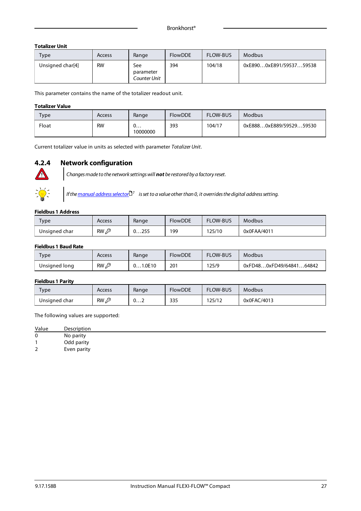#### <span id="page-26-1"></span>**Totalizer Unit**

| Type             | <b>Access</b> | Range                            | <b>FlowDDE</b> | <b>FLOW-BUS</b> | Modbus                  |
|------------------|---------------|----------------------------------|----------------|-----------------|-------------------------|
| Unsigned char[4] | <b>RW</b>     | See<br>parameter<br>Counter Unit | 394            | 104/18          | 0xE8900xE891/5953759538 |

This parameter contains the name of the totalizer readout unit.

#### <span id="page-26-2"></span>**Totalizer Value**

| Type  | Access    | Range         | FlowDDE | <b>FLOW-BUS</b> | Modbus                  |
|-------|-----------|---------------|---------|-----------------|-------------------------|
| Float | <b>RW</b> | ∪<br>10000000 | 393     | 104/17          | 0xE8880xE889/5952959530 |

Current totalizer value in units as selected with parameter Totalizer Unit.

# <span id="page-26-0"></span>**4.2.4 Network configuration**



Changes made to the network settings will **not** be restored by a factory reset.

If the <u>manual address selector</u> $\Box^7$  is set to a value other than 0, it overrides the digital address setting.

#### <span id="page-26-3"></span>**Fieldbus 1 Address**

| Type          | Access  | Range       | FlowDDE | <b>FLOW-BUS</b> | Modbus      |
|---------------|---------|-------------|---------|-----------------|-------------|
| Unsigned char | ₽<br>RW | つにに<br>u∠JJ | 199     | 125/10          | 0x0FAA/4011 |

#### <span id="page-26-4"></span>**Fieldbus 1 Baud Rate**

| Type          | Access  | Range   | <b>FlowDDE</b> | <b>FLOW-BUS</b> | Modbus                  |
|---------------|---------|---------|----------------|-----------------|-------------------------|
| Unsigned long | ₽<br>RW | 01.0E10 | 201            | 125/9           | 0xFD480xFD49/6484164842 |

#### <span id="page-26-5"></span>**Fieldbus 1 Parity**

| Type          | Access         | Range | FlowDDE | <b>FLOW-BUS</b> | Modbus      |
|---------------|----------------|-------|---------|-----------------|-------------|
| Unsigned char | $RW$ $\oslash$ | ∪∠    | 335     | 125/12          | 0x0FAC/4013 |

The following values are supported:

| Value         | Description |
|---------------|-------------|
| 0             | No parity   |
| 1             | Odd parity  |
| $\mathcal{P}$ | Even parity |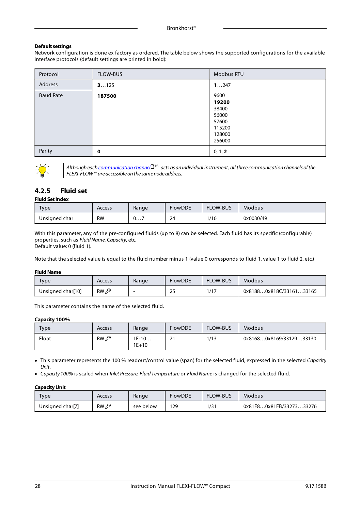#### **Default settings**

Network configuration is done ex factory as ordered. The table below shows the supported configurations for the available interface protocols (default settings are printed in bold):

| Protocol         | FLOW-BUS    | Modbus RTU                                                             |
|------------------|-------------|------------------------------------------------------------------------|
| Address          | 3125        | 1247                                                                   |
| <b>Baud Rate</b> | 187500      | 9600<br>19200<br>38400<br>56000<br>57600<br>115200<br>128000<br>256000 |
| Parity           | $\mathbf 0$ | 0, 1, 2                                                                |



Although each <u>communication channel<sup>[115</sup></u> acts as an individual instrument, all three [communication channel](#page-14-1)s of the FLEXI-FLOW™ are accessible on the same node address.

# <span id="page-27-4"></span><span id="page-27-0"></span>**4.2.5 Fluid set**

| <b>Fluid Set Index</b> |
|------------------------|
|------------------------|

| Type          | Access    | Range | <b>FlowDDE</b> | <b>FLOW-BUS</b> | Modbus    |
|---------------|-----------|-------|----------------|-----------------|-----------|
| Unsigned char | <b>RW</b> | ◡     | 24             | l/16            | 0x0030/49 |

With this parameter, any of the pre-configured fluids (up to 8) can be selected. Each fluid has its specific (configurable) properties, such as Fluid Name, Capacity, etc. Default value: 0 (fluid 1).

Note that the selected value is equal to the fluid number minus 1 (value 0 corresponds to fluid 1, value 1 to fluid 2, etc.)

#### <span id="page-27-3"></span>**Fluid Name**

| Type                          | Access         | Range | FlowDDE | <b>FLOW-BUS</b> | Modbus                  |
|-------------------------------|----------------|-------|---------|-----------------|-------------------------|
| Unsigned char <sup>[10]</sup> | $RW$ $\oslash$ |       | 25      | 1/17            | 0x81880x818C/3316133165 |

This parameter contains the name of the selected fluid.

#### <span id="page-27-1"></span>**Capacity 100%**

| Type  | Access         | Range              | <b>FlowDDE</b> | <b>FLOW-BUS</b> | Modbus                  |
|-------|----------------|--------------------|----------------|-----------------|-------------------------|
| Float | $RW$ $\oslash$ | $1E-10$<br>$1E+10$ | ີ<br>∠∣        | 1/13            | 0x81680x8169/3312933130 |

• This parameter represents the 100 % readout/control value (span) for the selected fluid, expressed in the selected Capacity Unit.

· Capacity 100% is scaled when Inlet Pressure, Fluid Temperature or Fluid Name is changed for the selected fluid.

#### <span id="page-27-2"></span>**Capacity Unit**

| Type <sub>1</sub>            | Access         | Range     | FlowDDE | <b>FLOW-BUS</b> | Modbus                  |
|------------------------------|----------------|-----------|---------|-----------------|-------------------------|
| Unsigned char <sup>[7]</sup> | $RW$ $\oslash$ | see below | 129     | l/31            | 0x81F80x81FB/3327333276 |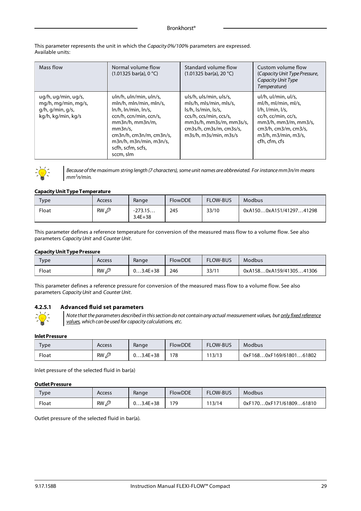This parameter represents the unit in which the Capacity 0%/100% parameters are expressed. Available units:

| Mass flow                                                                                              | Normal volume flow<br>$(1.01325 \text{ bar(a)}, 0 \degree C)$                                                                                                                                                                                           | Standard volume flow<br>$(1.01325 \text{ bar(a)}, 20 \text{ }^{\circ}\text{C})$                                                                                                           | Custom volume flow<br>(Capacity Unit Type Pressure,<br>Capacity Unit Type<br>Temperature)                                                                                                       |
|--------------------------------------------------------------------------------------------------------|---------------------------------------------------------------------------------------------------------------------------------------------------------------------------------------------------------------------------------------------------------|-------------------------------------------------------------------------------------------------------------------------------------------------------------------------------------------|-------------------------------------------------------------------------------------------------------------------------------------------------------------------------------------------------|
| $uq/h$ , $uq/min$ , $uq/s$ ,<br>mg/h, mg/min, mg/s,<br>$q/h$ , $q/min$ , $q/s$ ,<br>kg/h, kg/min, kg/s | uln/h, uln/min, uln/s,<br>$mln/h$ , $mln/min$ , $mln/s$ ,<br>$ln/h$ , $ln/min$ , $ln/s$ ,<br>ccn/h, ccn/min, ccn/s,<br>$mm3n/h$ , $mm3n/m$ .<br>mm3n/s.<br>cm3n/h, cm3n/m, cm3n/s,<br>$m3n/h$ , $m3n/min$ , $m3n/s$ ,<br>scfh, scfm, scfs,<br>sccm, slm | uls/h, uls/min, uls/s,<br>mls/h, mls/min, mls/s,<br>$ls/h$ , $ls/min$ , $ls/s$ .<br>ccs/h, ccs/min, ccs/s,<br>mm3s/h, mm3s/m, mm3s/s,<br>cm3s/h, cm3s/m, cm3s/s,<br>m3s/h, m3s/min, m3s/s | ul/h, ul/min, ul/s,<br>ml/h, ml/min, ml/s,<br>$1/h$ , $1/m$ in, $1/s$ ,<br>cc/h, cc/min, cc/s,<br>mm3/h, mm3/m, mm3/s.<br>cm3/h, cm3/m, cm3/s,<br>$m3/h$ , $m3/min$ , $m3/s$ .<br>cfh, cfm, cfs |



Because of the maximum string length (7 characters), some unit names are abbreviated. For instance mm3n/m means  $mm<sup>3</sup>n/min$ .

#### <span id="page-28-2"></span>**Capacity Unit Type Temperature**

| Type  | Access         | Range                    | FlowDDE | <b>FLOW-BUS</b> | Modbus                  |
|-------|----------------|--------------------------|---------|-----------------|-------------------------|
| Float | $RW$ $\oslash$ | $-273.15$<br>$3.4E + 38$ | 245     | 33/10           | 0xA1500xA151/4129741298 |

This parameter defines a reference temperature for conversion of the measured mass flow to a volume flow. See also parameters Capacity Unit and Counter Unit.

#### <span id="page-28-1"></span>**Capacity Unit Type Pressure**

| Type  | Access         | Range      | <b>FlowDDE</b> | <b>FLOW-BUS</b> | <b>Modbus</b>           |
|-------|----------------|------------|----------------|-----------------|-------------------------|
| Float | ₽<br><b>RW</b> | $03.4E+38$ | 246            | 33/1            | 0xA1580xA159/4130541306 |

This parameter defines a reference pressure for conversion of the measured mass flow to a volume flow. See also parameters Capacity Unit and Counter Unit.

# <span id="page-28-0"></span>**4.2.5.1 Advanced fluid set parameters**



Note that the parameters described in this section do not contain any actual measurement values, but only fixed reference values, which can be used for capacity calculations, etc.

#### <span id="page-28-3"></span>**Inlet Pressure**

| Type  | Access         | Range      | FlowDDE | <b>FLOW-BUS</b> | Modbus                  |
|-------|----------------|------------|---------|-----------------|-------------------------|
| Float | $RW$ $\oslash$ | $03.4E+38$ | 178     | 13/13           | 0xF1680xF169/6180161802 |

Inlet pressure of the selected fluid in bar(a)

#### <span id="page-28-4"></span>**Outlet Pressure**

| Type  | Access         | Range      | <b>FlowDDE</b> | <b>FLOW-BUS</b> | Modbus                  |
|-------|----------------|------------|----------------|-----------------|-------------------------|
| Float | $RW$ $\oslash$ | $03.4E+38$ | 179            | 113/14          | 0xF1700xF171/6180961810 |

Outlet pressure of the selected fluid in bar(a).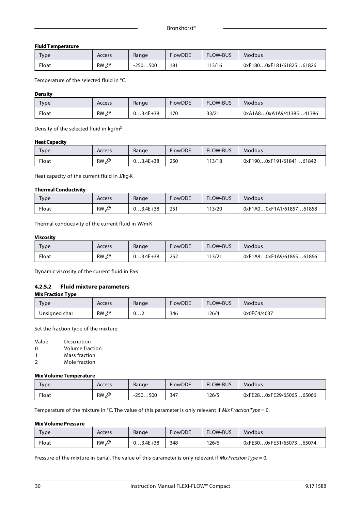#### <span id="page-29-2"></span>**Fluid Temperature**

| Type  | Access         | Range     | <b>FlowDDE</b> | <b>FLOW-BUS</b> | Modbus                  |
|-------|----------------|-----------|----------------|-----------------|-------------------------|
| Float | $RW$ $\oslash$ | $-250500$ | 181            | 113/16          | 0xF1800xF181/6182561826 |

Temperature of the selected fluid in °C.

#### <span id="page-29-1"></span>**Density**

| Type  | Access         | Range      | FlowDDE | <b>FLOW-BUS</b> | <b>Modbus</b>           |
|-------|----------------|------------|---------|-----------------|-------------------------|
| Float | $RW$ $\oslash$ | $03.4E+38$ | 170     | 33/21           | 0xA1A80xA1A9/4138541386 |

Density of the selected fluid in kg/m<sup>3</sup>

#### <span id="page-29-3"></span>**Heat Capacity**

| Type  | Access         | Range      | FlowDDE | <b>FLOW-BUS</b> | Modbus                  |
|-------|----------------|------------|---------|-----------------|-------------------------|
| Float | $RW$ $\oslash$ | $03.4E+38$ | 250     | 113/18          | 0xF1900xF191/6184161842 |

Heat capacity of the current fluid in J/kg·K

#### <span id="page-29-4"></span>**Thermal Conductivity**

| Type  | Access         | Range      | FlowDDE | <b>FLOW-BUS</b> | Modbus                  |
|-------|----------------|------------|---------|-----------------|-------------------------|
| Float | $RW$ $\oslash$ | $03.4E+38$ | 25      | 13/20           | 0xF1A00xF1A1/6185761858 |

Thermal conductivity of the current fluid in W/m·K

### <span id="page-29-5"></span>**Viscosity**

| Type  | Access         | Range      | FlowDDE | <b>FLOW-BUS</b> | Modbus                  |
|-------|----------------|------------|---------|-----------------|-------------------------|
| Float | $RW$ $\oslash$ | $03.4E+38$ | 252     | 13/21           | 0xF1A80xF1A9/6186561866 |

Dynamic viscosity of the current fluid in Pa·s

## <span id="page-29-0"></span>**4.2.5.2 Fluid mixture parameters**

#### <span id="page-29-6"></span>**Mix Fraction Type**

| Type <sub>1</sub> | Access         | Range | FlowDDE | <b>FLOW-BUS</b> | Modbus      |
|-------------------|----------------|-------|---------|-----------------|-------------|
| Unsigned char     | ₽<br><b>RW</b> | ∪∠    | 346     | 126/4           | 0x0FC4/4037 |

Set the fraction type of the mixture:

| Value    | Description     |
|----------|-----------------|
| $\Omega$ | Volume fraction |
|          | Mass fraction   |
| - 2      | Mole fraction   |

#### <span id="page-29-8"></span>**Mix Volume Temperature**

| Type  | Access         | Range     | <b>FlowDDE</b> | <b>FLOW-BUS</b> | Modbus                  |
|-------|----------------|-----------|----------------|-----------------|-------------------------|
| Float | $RW$ $\oslash$ | $-250500$ | 347            | 126/5           | 0xFE280xFE29/6506565066 |

Temperature of the mixture in °C. The value of this parameter is only relevant if Mix Fraction Type = 0.

#### <span id="page-29-7"></span>**Mix Volume Pressure**

| Type  | Access         | Range      | FlowDDE | <b>FLOW-BUS</b> | Modbus                  |
|-------|----------------|------------|---------|-----------------|-------------------------|
| Float | $RW$ $\oslash$ | $03.4E+38$ | 348     | 126/6           | 0xFE300xFE31/6507365074 |

Pressure of the mixture in bar(a). The value of this parameter is only relevant if Mix Fraction Type = 0.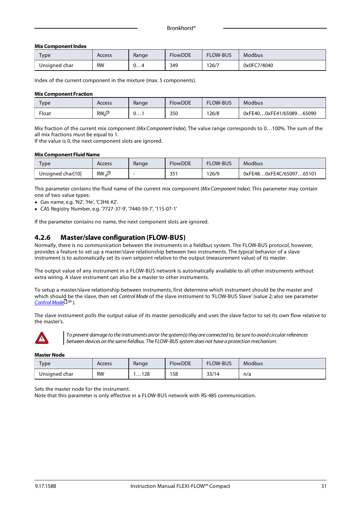#### <span id="page-30-3"></span>**Mix Component Index**

| Type <sub>1</sub> | Access    | Range | <b>FlowDDE</b> | <b>FLOW-BUS</b> | Modbus      |
|-------------------|-----------|-------|----------------|-----------------|-------------|
| Unsianed char     | <b>RW</b> | v4    | 349            | 126/7           | 0x0FC7/4040 |

Index of the current component in the mixture (max. 5 components).

#### <span id="page-30-2"></span>**Mix Component Fraction**

| Type  | Access      | Range | FlowDDE | <b>FLOW-BUS</b> | Modbus                  |
|-------|-------------|-------|---------|-----------------|-------------------------|
| Float | $RW_{\ell}$ | ∪     | 350     | 126/8           | 0xFE400xFE41/6508965090 |

Mix fraction of the current mix component (Mix Component Index). The value range corresponds to 0…100%. The sum of the all mix fractions must be equal to 1.

If the value is 0, the next component slots are ignored.

#### <span id="page-30-1"></span>**Mix Component Fluid Name**

| Type              | Access        | Range | <b>FlowDDE</b> | <b>FLOW-BUS</b> | Modbus                  |
|-------------------|---------------|-------|----------------|-----------------|-------------------------|
| Unsigned char[10] | $RW_{\infty}$ |       | 351            | 126/9           | 0xFE480xFE4C/6509765101 |

This parameter contains the fluid name of the current mix component (Mix Component Index). This parameter may contain one of two value types:

· Gas name, e.g. 'N2', 'He', 'C3H6 #2'.

· CAS Registry Number, e.g. '7727-37-9', '7440-59-7', '115-07-1'

If the parameter contains no name, the next component slots are ignored.

# <span id="page-30-0"></span>**4.2.6 Master/slave configuration (FLOW-BUS)**

Normally, there is no communication between the instruments in a fieldbus system. The FLOW-BUS protocol, however, provides a feature to set up a master/slave relationship between two instruments. The typical behavior of a slave instrument is to automatically set its own setpoint relative to the output (measurement value) of its master.

The output value of any instrument in a FLOW-BUS network is automatically available to all other instruments without extra wiring. A slave instrument can also be a master to other instruments.

To setup a master/slave relationship between instruments, first determine which instrument should be the master and which should be the slave, then set Control Mode of the slave instrument to 'FLOW-BUS Slave' (value 2; also see parameter [Control Mode](#page-33-0) 134).

The slave instrument polls the output value of its master periodically and uses the slave factor to set its own flow relative to the master's.



To prevent damage to the instruments an/or the system(s) they are connected to, be sure to avoid circular references between devices on the same fieldbus. The FLOW-BUS system does not have a protection mechanism.

<span id="page-30-4"></span>**Master Node** 

| Type          | Access    | Range | FlowDDE | <b>FLOW-BUS</b> | Modbus |
|---------------|-----------|-------|---------|-----------------|--------|
| Unsigned char | <b>RW</b> | 1128  | 158     | 33/14           | n/a    |

Sets the master node for the instrument.

Note that this parameter is only effective in a FLOW-BUS network with RS-485 communication.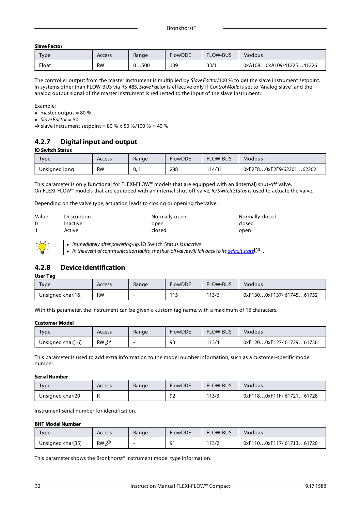<span id="page-31-7"></span>**Slave Factor** 

| Type  | Access    | Range | FlowDDE | <b>FLOW-BUS</b> | Modbus                  |
|-------|-----------|-------|---------|-----------------|-------------------------|
| Float | <b>RW</b> | 0500  | 139     | 33/1            | 0xA1080xA109/4122541226 |

The controller output from the master instrument is multiplied by Slave Factor/100 % to get the slave instrument setpoint. In systems other than FLOW-BUS via RS-485, Slave Factor is effective only if Control Mode is set to 'Analog slave', and the analog output signal of the master instrument is redirected to the input of the slave instrument.

Example:

- master output =  $80\%$
- Slave Factor =  $50$

 $\Rightarrow$  slave instrument setpoint = 80 % x 50 %/100 % = 40 %

# <span id="page-31-0"></span>**4.2.7 Digital input and output**

#### <span id="page-31-6"></span>**IO Switch Status**

| Type          | Access    | Range | FlowDDE | <b>FLOW-BUS</b> | Modbus                  |
|---------------|-----------|-------|---------|-----------------|-------------------------|
| Unsigned long | <b>RW</b> | v,    | 288     | 14/31           | 0xF2F80xF2F9/6220162202 |

This parameter is only functional for FLEXI-FLOW™ models that are equipped with an (internal) shut-off valve. On FLEXI-FLOW™ models that are equipped with an internal shut-off valve, IO Switch Status is used to actuate the valve.

Depending on the valve type, actuation leads to closing or opening the valve:

| Value        | Description | Normally open | Normally closed |
|--------------|-------------|---------------|-----------------|
| $\mathbf{0}$ | Inactive    | open          | closed          |
|              | Active      | closed        | open            |



· Immediately after powering-up, IO Switch Status is inactive.

• In the event of communication faults, the shut-off valve will fall back to its *default state*  $\Box$ <sup>8</sup>.

# <span id="page-31-1"></span>**4.2.8 Device identification**

<span id="page-31-5"></span>**User Tag**

| Type                          | Access    | Range | FlowDDE | <b>FLOW-BUS</b> | Modbus                  |
|-------------------------------|-----------|-------|---------|-----------------|-------------------------|
| Unsigned char <sup>[16]</sup> | <b>RW</b> |       | 115     | 13/6            | 0xF1300xF137/6174561752 |

With this parameter, the instrument can be given a custom tag name, with a maximum of 16 characters.

#### <span id="page-31-3"></span>**Customer Model**

| <b>Type</b>                   | Access      | Range | FlowDDE | <b>FLOW-BUS</b> | Modbus                  |
|-------------------------------|-------------|-------|---------|-----------------|-------------------------|
| Unsigned char <sup>[16]</sup> | $RW\oslash$ |       | 93      | 113/4           | 0xF1200xF127/6172961736 |

This parameter is used to add extra information to the model number information, such as a customer-specific model number.

#### <span id="page-31-4"></span>**Serial Number**

| Type                          | Access | Range | FlowDDE | <b>FLOW-BUS</b> | Modbus                  |
|-------------------------------|--------|-------|---------|-----------------|-------------------------|
| Unsigned char <sup>[20]</sup> |        |       | 92      | 113/3           | 0xF1180xF11F/6172161728 |

Instrument serial number for identification.

#### <span id="page-31-2"></span>**BHT Model Number**

| Type <sub>o</sub> | Access      | Range | FlowDDE    | <b>FLOW-BUS</b> | Modbus                  |
|-------------------|-------------|-------|------------|-----------------|-------------------------|
| Unsigned char[35] | $RW\oslash$ |       | $^{\circ}$ | 13/2            | 0xF1100xF117/6171361720 |

This parameter shows the Bronkhorst® instrument model type information.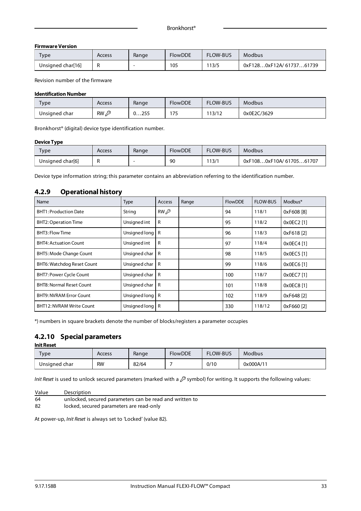#### <span id="page-32-3"></span>**Firmware Version**

| Type              | Access | Range | FlowDDE | <b>FLOW-BUS</b> | Modbus                  |
|-------------------|--------|-------|---------|-----------------|-------------------------|
| Unsigned char[16] |        |       | 105     | 13/5            | 0xF1280xF12A/6173761739 |

Revision number of the firmware

#### <span id="page-32-4"></span>**Identification Number**

| Type          | Access         | Range       | <b>FlowDDE</b> | <b>FLOW-BUS</b> | Modbus      |
|---------------|----------------|-------------|----------------|-----------------|-------------|
| Unsigned char | $RW$ $\oslash$ | つにに<br>uzɔɔ | 175            | '13/12          | 0x0E2C/3629 |

Bronkhorst® (digital) device type identification number.

#### <span id="page-32-2"></span>**Device Type**

| Type                         | Access | Range | <b>FlowDDE</b> | <b>FLOW-BUS</b> | Modbus                  |
|------------------------------|--------|-------|----------------|-----------------|-------------------------|
| Unsigned char <sup>[6]</sup> |        |       | 90             | 113/1           | 0xF1080xF10A/6170561707 |

Device type information string; this parameter contains an abbreviation referring to the identification number.

### <span id="page-32-0"></span>**4.2.9 Operational history**

| Name                            | <b>Type</b>   | Access          | Range | <b>FlowDDE</b> | <b>FLOW-BUS</b> | Modbus*    |
|---------------------------------|---------------|-----------------|-------|----------------|-----------------|------------|
| <b>BHT1: Production Date</b>    | String        | $RW\mathcal{P}$ |       | 94             | 118/1           | 0xF608 [8] |
| BHT2: Operation Time            | Unsigned int  | R               |       | 95             | 118/2           | 0x0EC2 [1] |
| BHT3: Flow Time                 | Unsigned long | R               |       | 96             | 118/3           | 0xF618 [2] |
| <b>BHT4: Actuation Count</b>    | Unsigned int  | R               |       | 97             | 118/4           | 0x0EC4 [1] |
| BHT5: Mode Change Count         | Unsigned char | R               |       | 98             | 118/5           | 0x0EC5 [1] |
| BHT6: Watchdog Reset Count      | Unsigned char | R               |       | 99             | 118/6           | 0x0EC6 [1] |
| <b>BHT7: Power Cycle Count</b>  | Unsigned char | R               |       | 100            | 118/7           | 0x0EC7 [1] |
| <b>BHT8: Normal Reset Count</b> | Unsigned char | R               |       | 101            | 118/8           | 0x0EC8 [1] |
| <b>BHT9: NVRAM Error Count</b>  | Unsigned long | R               |       | 102            | 118/9           | 0xF648 [2] |
| BHT12: NVRAM Write Count        | Unsigned long | R               |       | 330            | 118/12          | 0xF660 [2] |

\*) numbers in square brackets denote the number of blocks/registers a parameter occupies

# <span id="page-32-1"></span>**4.2.10 Special parameters**

#### <span id="page-32-5"></span>**Init Reset**

| Type          | Access    | Range | FlowDDE | <b>FLOW-BUS</b> | Modbus    |
|---------------|-----------|-------|---------|-----------------|-----------|
| Unsigned char | <b>RW</b> | 82/64 |         | 0/10            | 0x000A/11 |

Init Reset is used to unlock secured parameters (marked with a  $\mathcal{P}$  symbol) for writing. It supports the following values:

| Value | Description                                             |
|-------|---------------------------------------------------------|
| 64    | unlocked, secured parameters can be read and written to |
| 82    | locked, secured parameters are read-only                |

At power-up, Init Reset is always set to 'Locked' (value 82).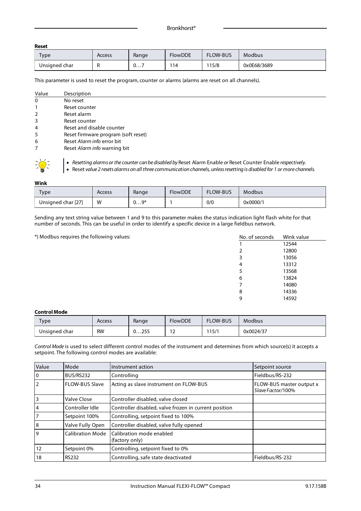<span id="page-33-1"></span>**Reset**

| Type          | Access | Range | FlowDDE | LOW-BUS | Modbus      |
|---------------|--------|-------|---------|---------|-------------|
| Unsigned char | . .    | ◡     | 14`     | 115/8   | 0x0E68/3689 |

This parameter is used to reset the program, counter or alarms (alarms are reset on all channels).

| Value         | Description                         |
|---------------|-------------------------------------|
|               | No reset                            |
|               | Reset counter                       |
| $\mathcal{P}$ | Reset alarm                         |
| 3             | Reset counter                       |
| 4             | Reset and disable counter           |
| 5             | Reset firmware program (soft reset) |
| 6             | Reset Alarm info error bit          |
|               | Reset Alarm info warning bit        |
|               |                                     |

• Resetting alarms or the counter can be disabled by Reset Alarm Enable or Reset Counter Enable respectively.

· Reset value 2 resets alarms on all three communication channels, unless resetting is disabled for 1 or more channels.

<span id="page-33-2"></span>**Wink**

| Type               | Access | Range   | FlowDDE | LOW-BUS | Modbus   |
|--------------------|--------|---------|---------|---------|----------|
| Unsigned char [27] | w      | O*<br>◡ |         | 0/0     | 0x0000/1 |

Sending any text string value between 1 and 9 to this parameter makes the status indication light flash white for that number of seconds. This can be useful in order to identify a specific device in a large fieldbus network.

\*) Modbus requires the following values:

| No. of seconds | Wink value |
|----------------|------------|
| 1              | 12544      |
| $\mathfrak{p}$ | 12800      |
| 3              | 13056      |
| 4              | 13312      |
| 5              | 13568      |
| 6              | 13824      |
| $\overline{7}$ | 14080      |
| 8              | 14336      |
| 9              | 14592      |

#### <span id="page-33-0"></span>**Control Mode**

| Type          | Access    | Range | <b>FlowDDE</b> | <b>FLOW-BUS</b> | Modbus    |
|---------------|-----------|-------|----------------|-----------------|-----------|
| Unsigned char | <b>RW</b> | 0255  | ╺              | 15/1            | 0x0024/37 |

Control Mode is used to select different control modes of the instrument and determines from which source(s) it accepts a setpoint. The following control modes are available:

| Value          | Mode                    | Instrument action                                     | Setpoint source                               |
|----------------|-------------------------|-------------------------------------------------------|-----------------------------------------------|
| 0              | BUS/RS232               | Controlling                                           | Fieldbus/RS-232                               |
| $\overline{2}$ | <b>FLOW-BUS Slave</b>   | Acting as slave instrument on FLOW-BUS                | FLOW-BUS master output x<br>Slave Factor/100% |
|                | <b>Valve Close</b>      | Controller disabled, valve closed                     |                                               |
|                | Controller Idle         | Controller disabled, valve frozen in current position |                                               |
|                | Setpoint 100%           | Controlling, setpoint fixed to 100%                   |                                               |
| 8              | Valve Fully Open        | Controller disabled, valve fully opened               |                                               |
| 9              | <b>Calibration Mode</b> | Calibration mode enabled<br>(factory only)            |                                               |
| 12             | Setpoint 0%             | Controlling, setpoint fixed to 0%                     |                                               |
| 18             | <b>RS232</b>            | Controlling, safe state deactivated                   | Fieldbus/RS-232                               |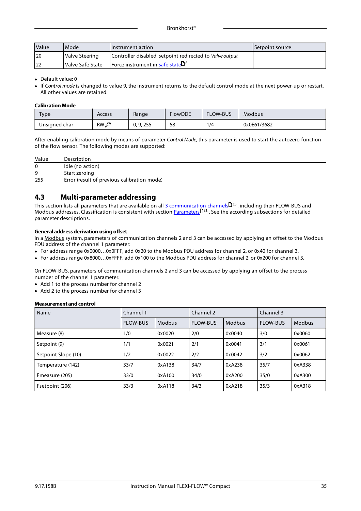| Value | Mode             | <b>Ilnstrument action</b>                                | Setpoint source |
|-------|------------------|----------------------------------------------------------|-----------------|
| 20    | Valve Steering   | Controller disabled, setpoint redirected to Valve output |                 |
| 22    | Valve Safe State | Force instrument in safe state $2^8$                     |                 |

· Default value: 0

· If Control mode is changed to value 9, the instrument returns to the default control mode at the next power-up or restart. All other values are retained.

#### **Calibration Mode**

| Type          | Access         | Range     | FlowDDE | <b>FLOW-BUS</b> | Modbus      |
|---------------|----------------|-----------|---------|-----------------|-------------|
| Unsigned char | $RW$ $\oslash$ | 0, 9, 255 | 58      | 1/4             | 0x0E61/3682 |

After enabling calibration mode by means of parameter Control Mode, this parameter is used to start the autozero function of the flow sensor. The following modes are supported:

| Value    | Description                                 |
|----------|---------------------------------------------|
| $\Omega$ | Idle (no action)                            |
| q        | Start zeroing                               |
| 255      | Error (result of previous calibration mode) |

# <span id="page-34-0"></span>**4.3 Multi-parameter addressing**

This section lists all parameters that are available on all <u>[3 communication channels](#page-14-1)</u> $1^{15}$ , including their FLOW-BUS and Modbus addresses. Classification is consistent with section  $\rm {Parameters} \rm \Omega^{21}$  $\rm {Parameters} \rm \Omega^{21}$  $\rm {Parameters} \rm \Omega^{21}$  . See the according subsections for detailed parameter descriptions.

#### **General address derivation using offset**

In a Modbus system, parameters of communication channels 2 and 3 can be accessed by applying an offset to the Modbus PDU address of the channel 1 parameter:

- · For address range 0x0000…0x0FFF, add 0x20 to the Modbus PDU address for channel 2, or 0x40 for channel 3.
- · For address range 0x8000…0xFFFF, add 0x100 to the Modbus PDU address for channel 2, or 0x200 for channel 3.

On FLOW-BUS, parameters of communication channels 2 and 3 can be accessed by applying an offset to the process number of the channel 1 parameter:

- Add 1 to the process number for channel 2
- Add 2 to the process number for channel 3

#### **Measurement and control**

| Name                | Channel 1       |        | Channel 2       |        | Channel 3       |               |
|---------------------|-----------------|--------|-----------------|--------|-----------------|---------------|
|                     | <b>FLOW-BUS</b> | Modbus | <b>FLOW-BUS</b> | Modbus | <b>FLOW-BUS</b> | <b>Modbus</b> |
| Measure (8)         | 1/0             | 0x0020 | 2/0             | 0x0040 | 3/0             | 0x0060        |
| Setpoint (9)        | 1/1             | 0x0021 | 2/1             | 0x0041 | 3/1             | 0x0061        |
| Setpoint Slope (10) | 1/2             | 0x0022 | 2/2             | 0x0042 | 3/2             | 0x0062        |
| Temperature (142)   | 33/7            | 0xA138 | 34/7            | 0xA238 | 35/7            | 0xA338        |
| Fmeasure (205)      | 33/0            | 0xA100 | 34/0            | 0xA200 | 35/0            | 0xA300        |
| Fsetpoint (206)     | 33/3            | 0xA118 | 34/3            | 0xA218 | 35/3            | 0xA318        |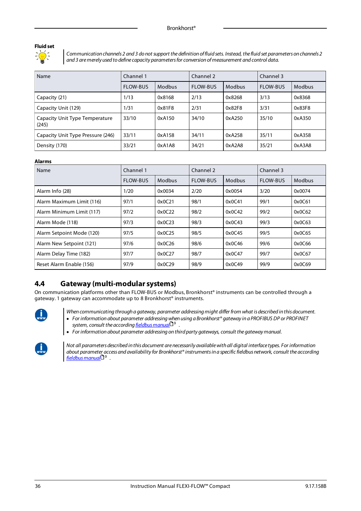

Communication channels 2 and 3 do not support the definition of fluid sets. Instead, the fluid set parameters on channels 2 and 3 are merely used to define capacity parameters for conversion of measurement and control data.

| Name                                    | Channel 1       |               | Channel 2       |        | Channel 3       |               |
|-----------------------------------------|-----------------|---------------|-----------------|--------|-----------------|---------------|
|                                         | <b>FLOW-BUS</b> | <b>Modbus</b> | <b>FLOW-BUS</b> | Modbus | <b>FLOW-BUS</b> | <b>Modbus</b> |
| Capacity (21)                           | 1/13            | 0x8168        | 2/13            | 0x8268 | 3/13            | 0x8368        |
| Capacity Unit (129)                     | 1/31            | 0x81F8        | 2/31            | 0x82F8 | 3/31            | 0x83F8        |
| Capacity Unit Type Temperature<br>(245) | 33/10           | 0xA150        | 34/10           | 0xA250 | 35/10           | 0xA350        |
| Capacity Unit Type Pressure (246)       | 33/11           | 0xA158        | 34/11           | 0xA258 | 35/11           | 0xA358        |
| Density (170)                           | 33/21           | 0xA1A8        | 34/21           | 0xA2A8 | 35/21           | 0xA3A8        |

#### **Alarms**

| Name                      | Channel 1       |        | Channel 2       |               | Channel 3       |        |
|---------------------------|-----------------|--------|-----------------|---------------|-----------------|--------|
|                           | <b>FLOW-BUS</b> | Modbus | <b>FLOW-BUS</b> | <b>Modbus</b> | <b>FLOW-BUS</b> | Modbus |
| Alarm Info (28)           | 1/20            | 0x0034 | 2/20            | 0x0054        | 3/20            | 0x0074 |
| Alarm Maximum Limit (116) | 97/1            | 0x0C21 | 98/1            | 0x0C41        | 99/1            | 0x0C61 |
| Alarm Minimum Limit (117) | 97/2            | 0x0C22 | 98/2            | 0x0C42        | 99/2            | 0x0C62 |
| Alarm Mode (118)          | 97/3            | 0x0C23 | 98/3            | 0x0C43        | 99/3            | 0x0C63 |
| Alarm Setpoint Mode (120) | 97/5            | 0x0C25 | 98/5            | 0x0C45        | 99/5            | 0x0C65 |
| Alarm New Setpoint (121)  | 97/6            | 0x0C26 | 98/6            | 0x0C46        | 99/6            | 0x0C66 |
| Alarm Delay Time (182)    | 97/7            | 0x0C27 | 98/7            | 0x0C47        | 99/7            | 0x0C67 |
| Reset Alarm Enable (156)  | 97/9            | 0x0C29 | 98/9            | 0x0C49        | 99/9            | 0x0C69 |

# <span id="page-35-0"></span>**4.4 Gateway (multi-modular systems)**

On communication platforms other than FLOW-BUS or Modbus, Bronkhorst® instruments can be controlled through a gateway. 1 gateway can accommodate up to 8 Bronkhorst® instruments.



- When communicating through a gateway, parameter addressing might differ from what is described in this document. · For information about parameter addressing when using a Bronkhorst® gateway in a PROFIBUS DP or PROFINET
- system, consult the according <u>[fieldbus manual](#page-8-0)</u> $\mathsf{\Omega}^{\mathsf{g}}$  .
- ·For information about parameter addressing on third party gateways, consult the gateway manual.



Not all parameters described in this document are necessarily available with all digital interface types. For information about parameter access and availability for Bronkhorst® instruments in a specific fieldbus network, consult the according . <sup>9</sup> f<u>ieldbus manual</u>